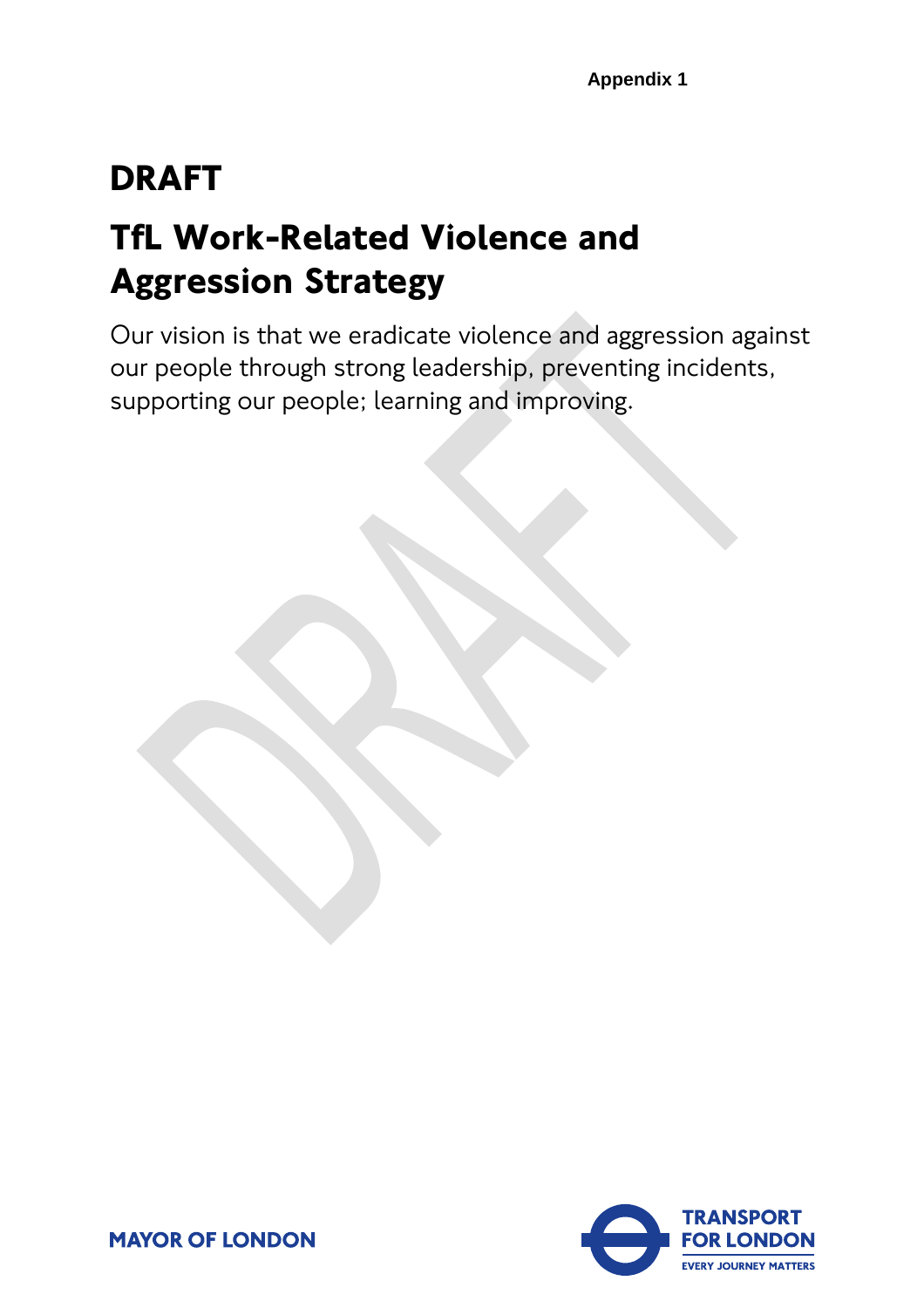# **DRAFT**

# **TfL Work-Related Violence and Aggression Strategy**

Our vision is that we eradicate violence and aggression against our people through strong leadership, preventing incidents, supporting our people; learning and improving.



**MAYOR OF LONDON**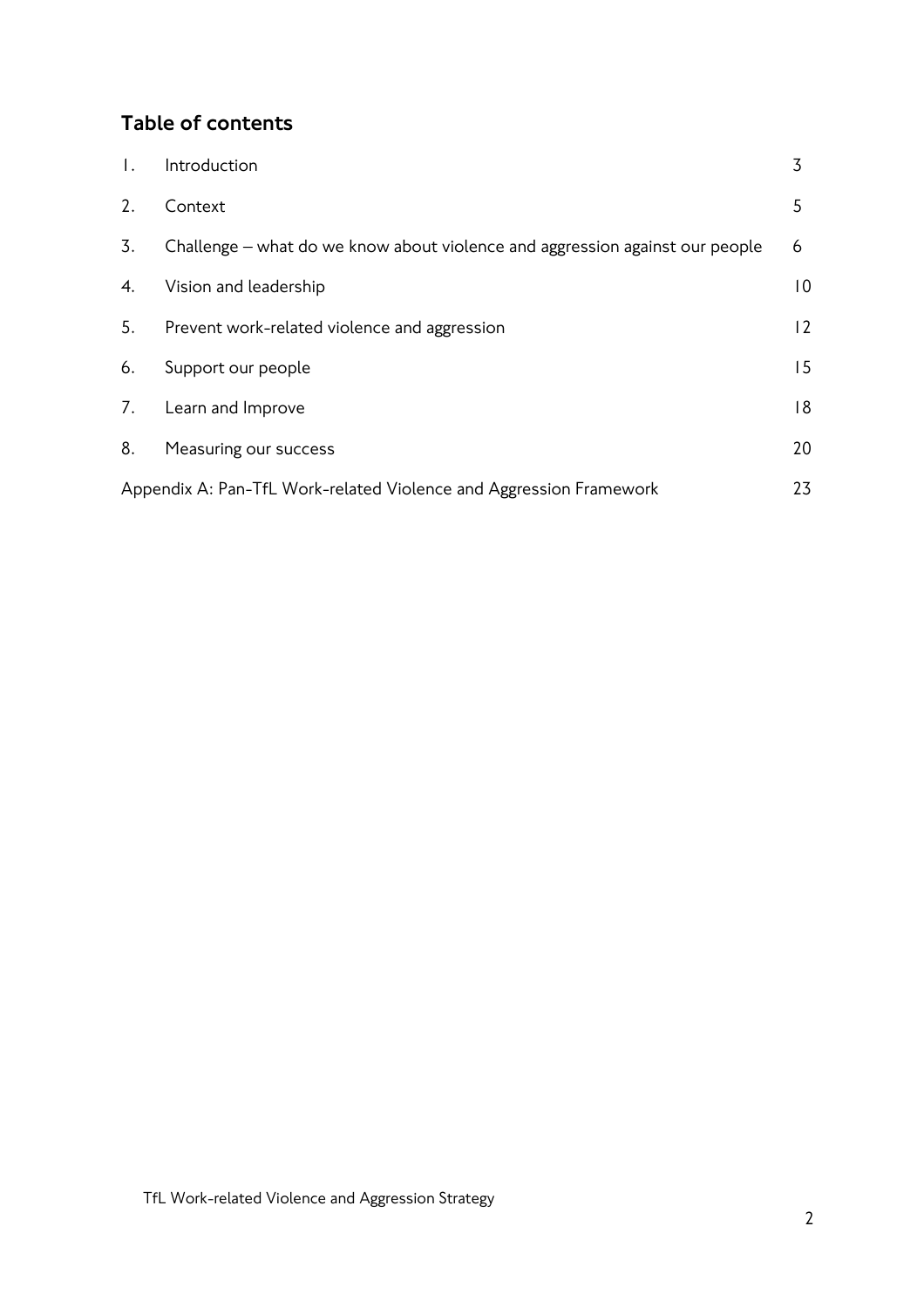## Table of contents

| $\mathbf{L}$                                                             | Introduction                                                                 | 3              |  |  |
|--------------------------------------------------------------------------|------------------------------------------------------------------------------|----------------|--|--|
| 2.                                                                       | Context                                                                      | 5              |  |  |
| $\overline{3}$ .                                                         | Challenge – what do we know about violence and aggression against our people | 6              |  |  |
| 4.                                                                       | Vision and leadership                                                        | $\overline{0}$ |  |  |
| 5.                                                                       | Prevent work-related violence and aggression                                 | 12             |  |  |
| 6.                                                                       | Support our people                                                           | 15             |  |  |
| 7.                                                                       | Learn and Improve                                                            | 18             |  |  |
| 8.                                                                       | Measuring our success                                                        | 20             |  |  |
| 23<br>Appendix A: Pan-TfL Work-related Violence and Aggression Framework |                                                                              |                |  |  |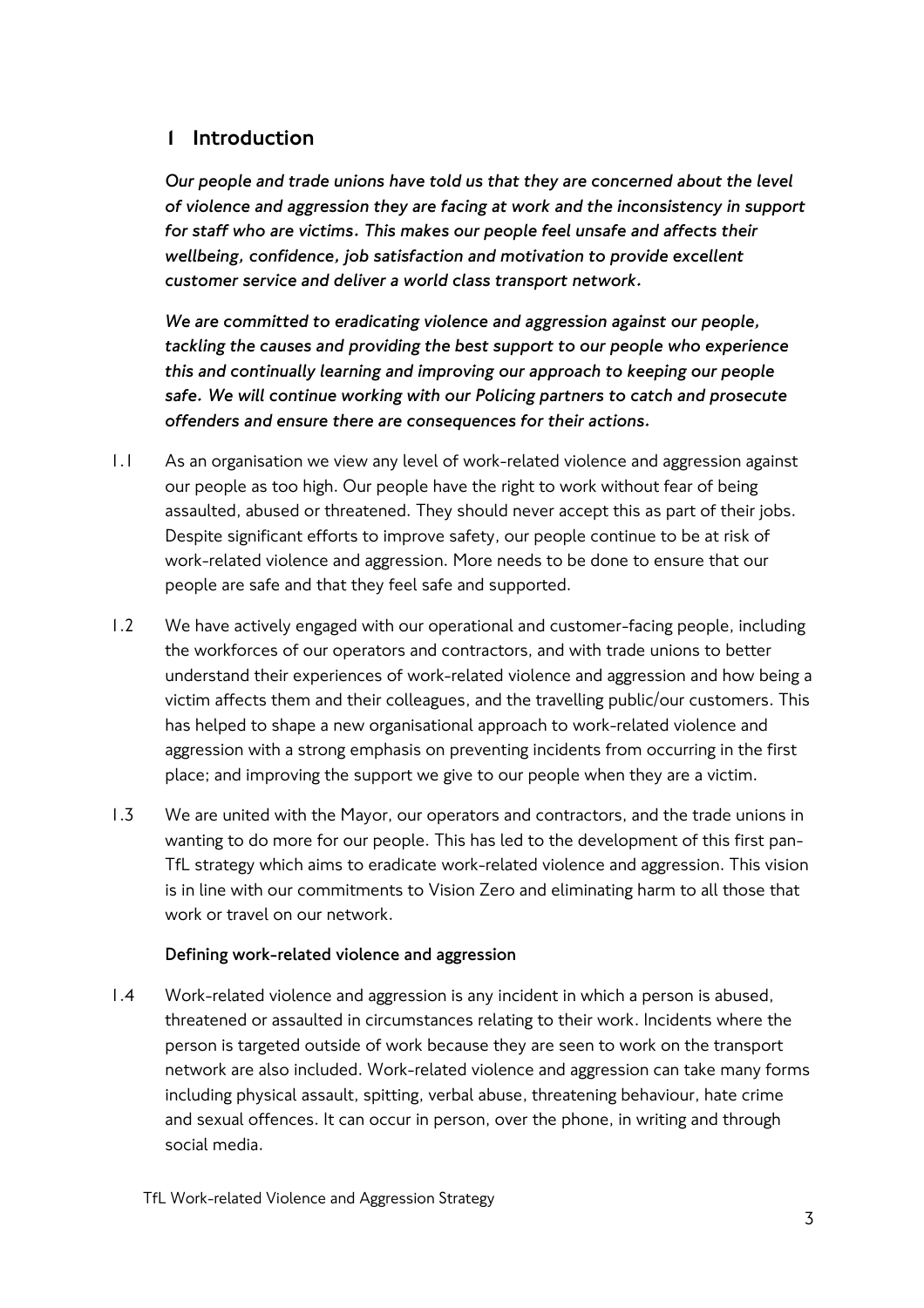## 1 Introduction

*Our people and trade unions have told us that they are concerned about the level of violence and aggression they are facing at work and the inconsistency in support for staff who are victims. This makes our people feel unsafe and affects their wellbeing, confidence, job satisfaction and motivation to provide excellent customer service and deliver a world class transport network.* 

*We are committed to eradicating violence and aggression against our people, tackling the causes and providing the best support to our people who experience this and continually learning and improving our approach to keeping our people safe. We will continue working with our Policing partners to catch and prosecute offenders and ensure there are consequences for their actions.*

- 1.1 As an organisation we view any level of work-related violence and aggression against our people as too high. Our people have the right to work without fear of being assaulted, abused or threatened. They should never accept this as part of their jobs. Despite significant efforts to improve safety, our people continue to be at risk of work-related violence and aggression. More needs to be done to ensure that our people are safe and that they feel safe and supported.
- 1.2 We have actively engaged with our operational and customer-facing people, including the workforces of our operators and contractors, and with trade unions to better understand their experiences of work-related violence and aggression and how being a victim affects them and their colleagues, and the travelling public/our customers. This has helped to shape a new organisational approach to work-related violence and aggression with a strong emphasis on preventing incidents from occurring in the first place; and improving the support we give to our people when they are a victim.
- 1.3 We are united with the Mayor, our operators and contractors, and the trade unions in wanting to do more for our people. This has led to the development of this first pan-TfL strategy which aims to eradicate work-related violence and aggression. This vision is in line with our commitments to Vision Zero and eliminating harm to all those that work or travel on our network.

#### **Defining work-related violence and aggression**

1.4 Work-related violence and aggression is any incident in which a person is abused, threatened or assaulted in circumstances relating to their work. Incidents where the person is targeted outside of work because they are seen to work on the transport network are also included. Work-related violence and aggression can take many forms including physical assault, spitting, verbal abuse, threatening behaviour, hate crime and sexual offences. It can occur in person, over the phone, in writing and through social media.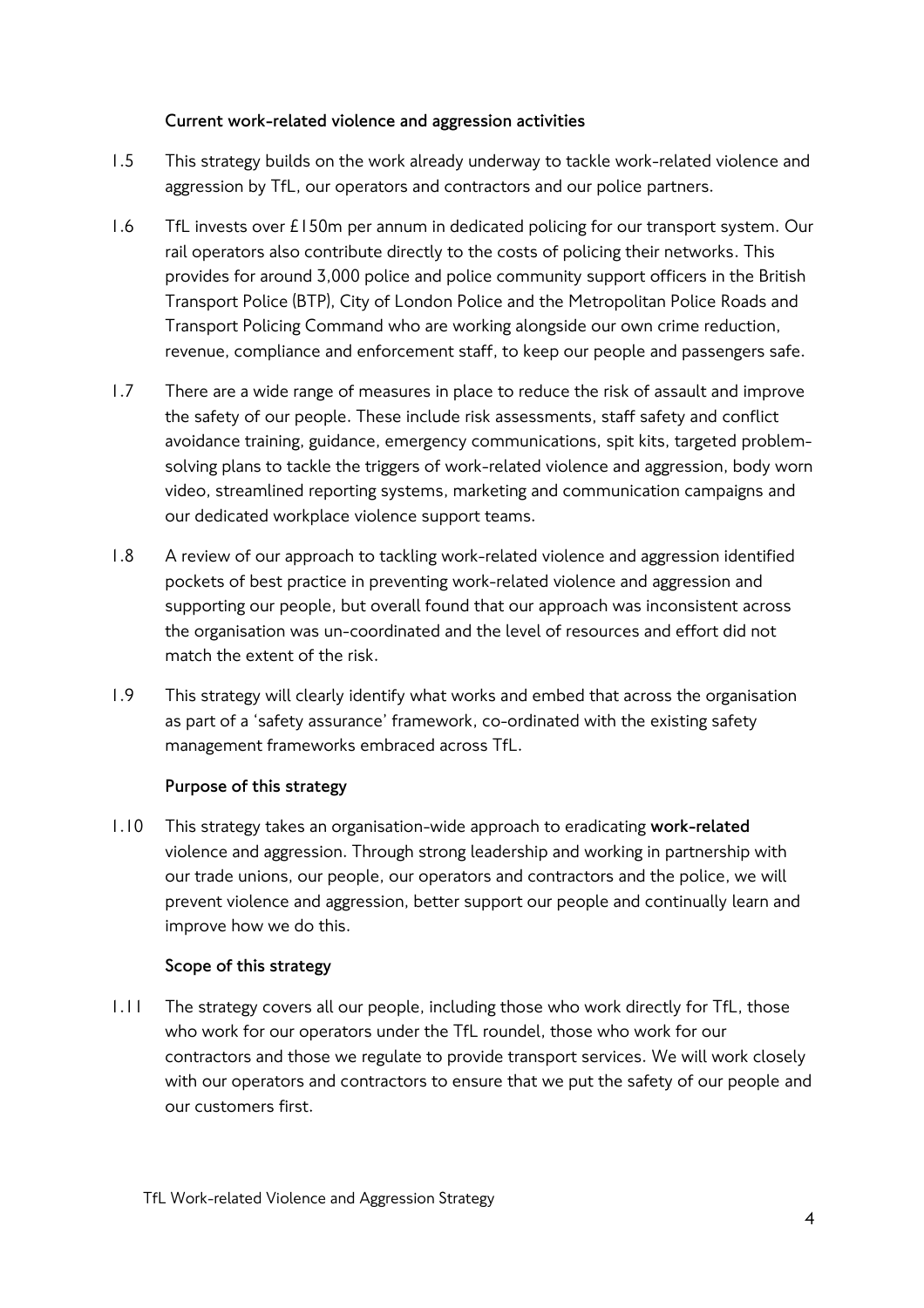#### **Current work-related violence and aggression activities**

- 1.5 This strategy builds on the work already underway to tackle work-related violence and aggression by TfL, our operators and contractors and our police partners.
- 1.6 TfL invests over £150m per annum in dedicated policing for our transport system. Our rail operators also contribute directly to the costs of policing their networks. This provides for around 3,000 police and police community support officers in the British Transport Police (BTP), City of London Police and the Metropolitan Police Roads and Transport Policing Command who are working alongside our own crime reduction, revenue, compliance and enforcement staff, to keep our people and passengers safe.
- 1.7 There are a wide range of measures in place to reduce the risk of assault and improve the safety of our people. These include risk assessments, staff safety and conflict avoidance training, guidance, emergency communications, spit kits, targeted problemsolving plans to tackle the triggers of work-related violence and aggression, body worn video, streamlined reporting systems, marketing and communication campaigns and our dedicated workplace violence support teams.
- 1.8 A review of our approach to tackling work-related violence and aggression identified pockets of best practice in preventing work-related violence and aggression and supporting our people, but overall found that our approach was inconsistent across the organisation was un-coordinated and the level of resources and effort did not match the extent of the risk.
- 1.9 This strategy will clearly identify what works and embed that across the organisation as part of a 'safety assurance' framework, co-ordinated with the existing safety management frameworks embraced across TfL.

#### **Purpose of this strategy**

1.10 This strategy takes an organisation-wide approach to eradicating **work-related** violence and aggression. Through strong leadership and working in partnership with our trade unions, our people, our operators and contractors and the police, we will prevent violence and aggression, better support our people and continually learn and improve how we do this.

#### **Scope of this strategy**

1.11 The strategy covers all our people, including those who work directly for TfL, those who work for our operators under the TfL roundel, those who work for our contractors and those we regulate to provide transport services. We will work closely with our operators and contractors to ensure that we put the safety of our people and our customers first.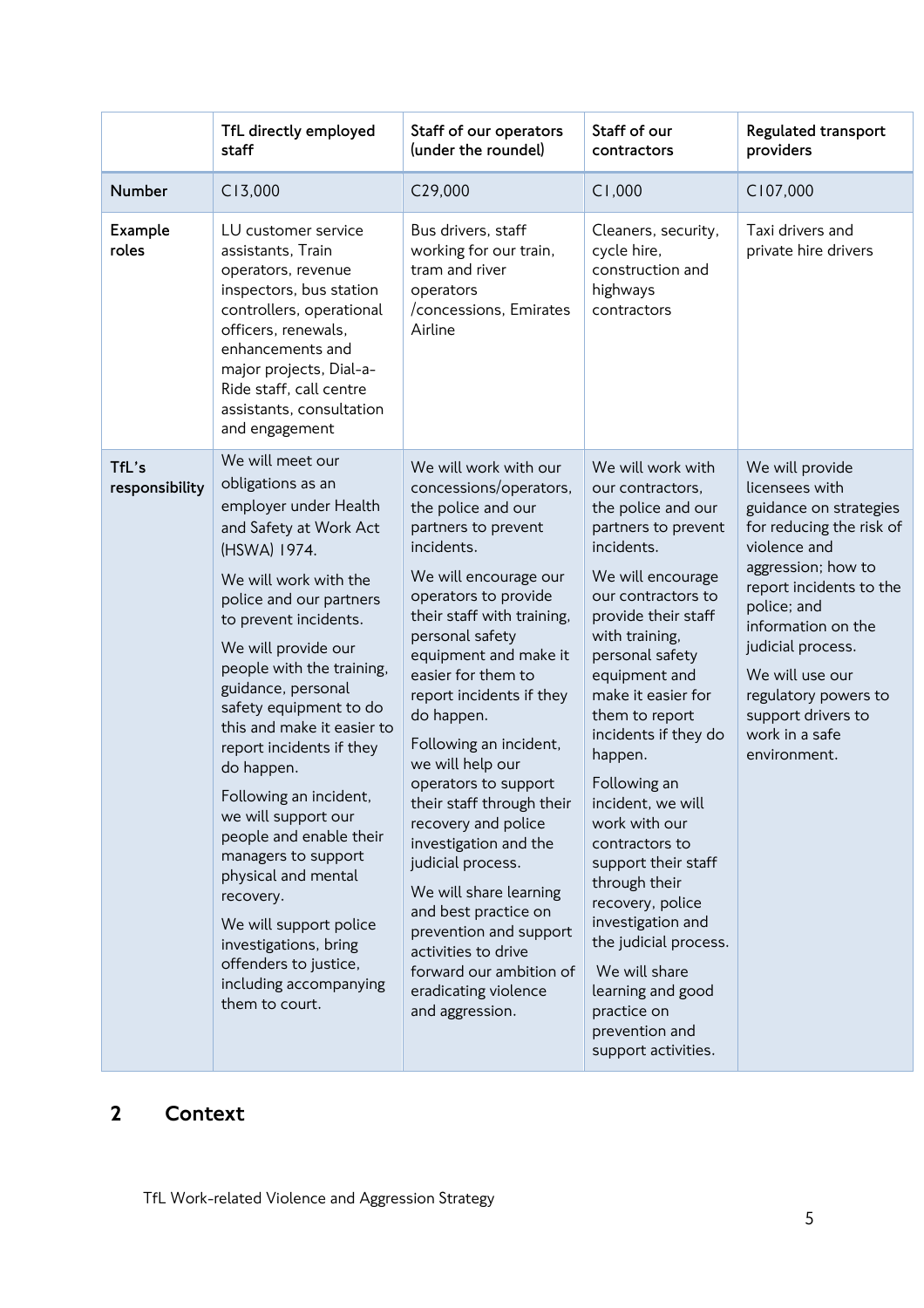|                         | TfL directly employed<br>staff                                                                                                                                                                                                                                                                                                                                                                                                                                                                                                                                                                                                   | Staff of our operators<br>(under the roundel)                                                                                                                                                                                                                                                                                                                                                                                                                                                                                                                                                                                                          | Staff of our<br>contractors                                                                                                                                                                                                                                                                                                                                                                                                                                                                                                                                                         | Regulated transport<br>providers                                                                                                                                                                                                                                                                                      |
|-------------------------|----------------------------------------------------------------------------------------------------------------------------------------------------------------------------------------------------------------------------------------------------------------------------------------------------------------------------------------------------------------------------------------------------------------------------------------------------------------------------------------------------------------------------------------------------------------------------------------------------------------------------------|--------------------------------------------------------------------------------------------------------------------------------------------------------------------------------------------------------------------------------------------------------------------------------------------------------------------------------------------------------------------------------------------------------------------------------------------------------------------------------------------------------------------------------------------------------------------------------------------------------------------------------------------------------|-------------------------------------------------------------------------------------------------------------------------------------------------------------------------------------------------------------------------------------------------------------------------------------------------------------------------------------------------------------------------------------------------------------------------------------------------------------------------------------------------------------------------------------------------------------------------------------|-----------------------------------------------------------------------------------------------------------------------------------------------------------------------------------------------------------------------------------------------------------------------------------------------------------------------|
| Number                  | C13,000                                                                                                                                                                                                                                                                                                                                                                                                                                                                                                                                                                                                                          | C29,000                                                                                                                                                                                                                                                                                                                                                                                                                                                                                                                                                                                                                                                | C1,000                                                                                                                                                                                                                                                                                                                                                                                                                                                                                                                                                                              | C107,000                                                                                                                                                                                                                                                                                                              |
| Example<br>roles        | LU customer service<br>assistants, Train<br>operators, revenue<br>inspectors, bus station<br>controllers, operational<br>officers, renewals,<br>enhancements and<br>major projects, Dial-a-<br>Ride staff, call centre<br>assistants, consultation<br>and engagement                                                                                                                                                                                                                                                                                                                                                             | Bus drivers, staff<br>working for our train,<br>tram and river<br>operators<br>/concessions, Emirates<br>Airline                                                                                                                                                                                                                                                                                                                                                                                                                                                                                                                                       | Cleaners, security,<br>cycle hire,<br>construction and<br>highways<br>contractors                                                                                                                                                                                                                                                                                                                                                                                                                                                                                                   | Taxi drivers and<br>private hire drivers                                                                                                                                                                                                                                                                              |
| TfL's<br>responsibility | We will meet our<br>obligations as an<br>employer under Health<br>and Safety at Work Act<br>(HSWA) 1974.<br>We will work with the<br>police and our partners<br>to prevent incidents.<br>We will provide our<br>people with the training,<br>guidance, personal<br>safety equipment to do<br>this and make it easier to<br>report incidents if they<br>do happen.<br>Following an incident,<br>we will support our<br>people and enable their<br>managers to support<br>physical and mental<br>recovery.<br>We will support police<br>investigations, bring<br>offenders to justice,<br>including accompanying<br>them to court. | We will work with our<br>concessions/operators,<br>the police and our<br>partners to prevent<br>incidents.<br>We will encourage our<br>operators to provide<br>their staff with training,<br>personal safety<br>equipment and make it<br>easier for them to<br>report incidents if they<br>do happen.<br>Following an incident,<br>we will help our<br>operators to support<br>their staff through their<br>recovery and police<br>investigation and the<br>judicial process.<br>We will share learning<br>and best practice on<br>prevention and support<br>activities to drive<br>forward our ambition of<br>eradicating violence<br>and aggression. | We will work with<br>our contractors,<br>the police and our<br>partners to prevent<br>incidents.<br>We will encourage<br>our contractors to<br>provide their staff<br>with training,<br>personal safety<br>equipment and<br>make it easier for<br>them to report<br>incidents if they do<br>happen.<br>Following an<br>incident, we will<br>work with our<br>contractors to<br>support their staff<br>through their<br>recovery, police<br>investigation and<br>the judicial process.<br>We will share<br>learning and good<br>practice on<br>prevention and<br>support activities. | We will provide<br>licensees with<br>guidance on strategies<br>for reducing the risk of<br>violence and<br>aggression; how to<br>report incidents to the<br>police; and<br>information on the<br>judicial process.<br>We will use our<br>regulatory powers to<br>support drivers to<br>work in a safe<br>environment. |

# 2 Context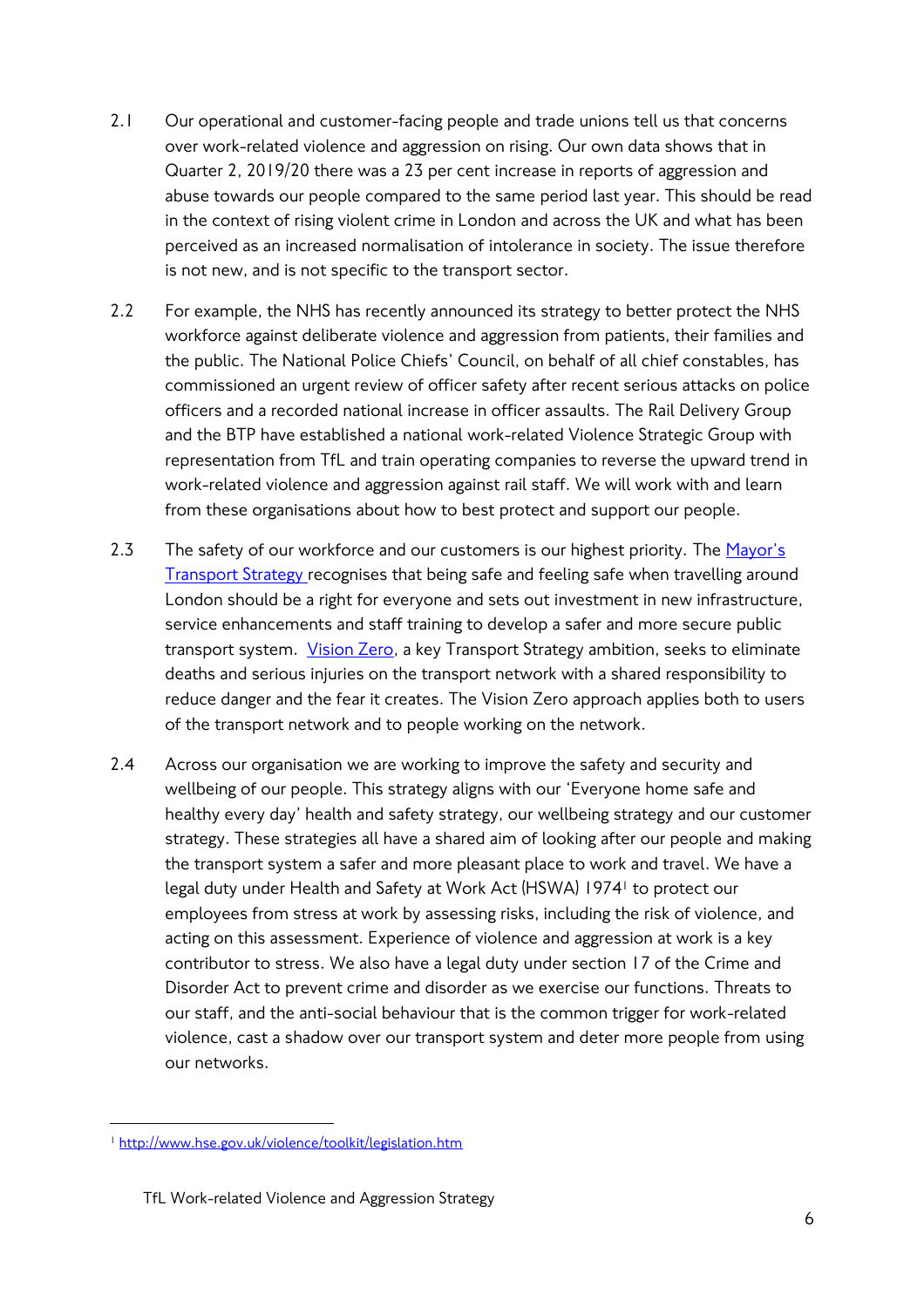- 2.1 Our operational and customer-facing people and trade unions tell us that concerns over work-related violence and aggression on rising. Our own data shows that in Quarter 2, 2019/20 there was a 23 per cent increase in reports of aggression and abuse towards our people compared to the same period last year. This should be read in the context of rising violent crime in London and across the UK and what has been perceived as an increased normalisation of intolerance in society. The issue therefore is not new, and is not specific to the transport sector.
- 2.2 For example, the NHS has recently announced its strategy to better protect the NHS workforce against deliberate violence and aggression from patients, their families and the public. The National Police Chiefs' Council, on behalf of all chief constables, has commissioned an urgent review of officer safety after recent serious attacks on police officers and a recorded national increase in officer assaults. The Rail Delivery Group and the BTP have established a national work-related Violence Strategic Group with representation from TfL and train operating companies to reverse the upward trend in work-related violence and aggression against rail staff. We will work with and learn from these organisations about how to best protect and support our people.
- 2.3 The safety of our workforce and our customers is our highest priority. The Mayor's [Transport Strategy](https://www.london.gov.uk/what-we-do/transport/our-vision-transport/mayors-transport-strategy-2018) recognises that being safe and feeling safe when travelling around London should be a right for everyone and sets out investment in new infrastructure, service enhancements and staff training to develop a safer and more secure public transport system. [Vision Zero,](https://tfl.gov.uk/corporate/safety-and-security/road-safety/vision-zero-for-london) a key Transport Strategy ambition, seeks to eliminate deaths and serious injuries on the transport network with a shared responsibility to reduce danger and the fear it creates. The Vision Zero approach applies both to users of the transport network and to people working on the network.
- 2.4 Across our organisation we are working to improve the safety and security and wellbeing of our people. This strategy aligns with our 'Everyone home safe and healthy every day' health and safety strategy, our wellbeing strategy and our customer strategy. These strategies all have a shared aim of looking after our people and making the transport system a safer and more pleasant place to work and travel. We have a legal duty under Health and Safety at Work Act (HSWA) 1974<sup>1</sup> to protect our employees from stress at work by assessing risks, including the risk of violence, and acting on this assessment. Experience of violence and aggression at work is a key contributor to stress. We also have a legal duty under section 17 of the Crime and Disorder Act to prevent crime and disorder as we exercise our functions. Threats to our staff, and the anti-social behaviour that is the common trigger for work-related violence, cast a shadow over our transport system and deter more people from using our networks.

 $\overline{\phantom{a}}$ <sup>1</sup> <http://www.hse.gov.uk/violence/toolkit/legislation.htm>

TfL Work-related Violence and Aggression Strategy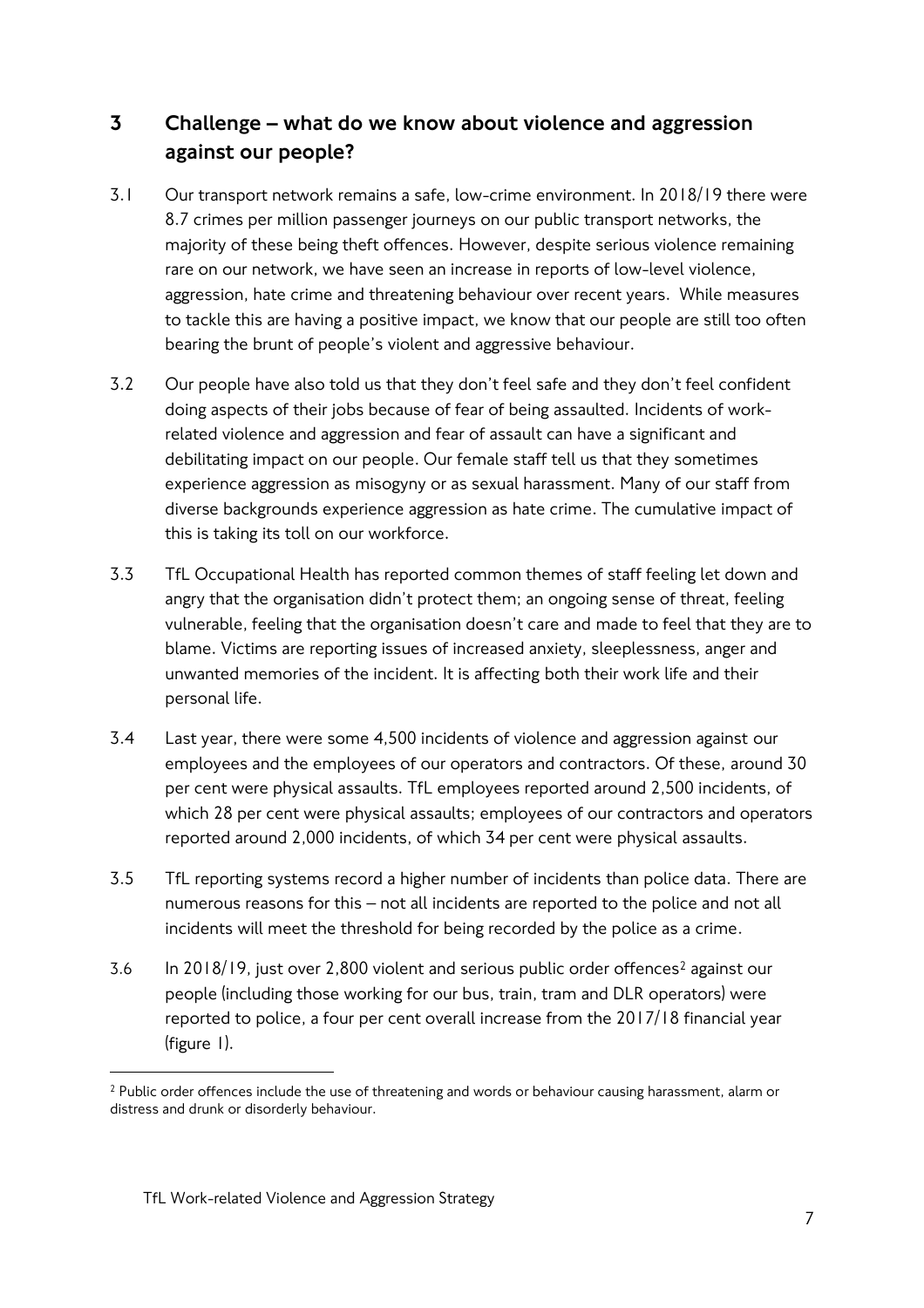## 3 Challenge – what do we know about violence and aggression against our people?

- 3.1 Our transport network remains a safe, low-crime environment. In 2018/19 there were 8.7 crimes per million passenger journeys on our public transport networks, the majority of these being theft offences. However, despite serious violence remaining rare on our network, we have seen an increase in reports of low-level violence, aggression, hate crime and threatening behaviour over recent years. While measures to tackle this are having a positive impact, we know that our people are still too often bearing the brunt of people's violent and aggressive behaviour.
- 3.2 Our people have also told us that they don't feel safe and they don't feel confident doing aspects of their jobs because of fear of being assaulted. Incidents of workrelated violence and aggression and fear of assault can have a significant and debilitating impact on our people. Our female staff tell us that they sometimes experience aggression as misogyny or as sexual harassment. Many of our staff from diverse backgrounds experience aggression as hate crime. The cumulative impact of this is taking its toll on our workforce.
- 3.3 TfL Occupational Health has reported common themes of staff feeling let down and angry that the organisation didn't protect them; an ongoing sense of threat, feeling vulnerable, feeling that the organisation doesn't care and made to feel that they are to blame. Victims are reporting issues of increased anxiety, sleeplessness, anger and unwanted memories of the incident. It is affecting both their work life and their personal life.
- 3.4 Last year, there were some 4,500 incidents of violence and aggression against our employees and the employees of our operators and contractors. Of these, around 30 per cent were physical assaults. TfL employees reported around 2,500 incidents, of which 28 per cent were physical assaults; employees of our contractors and operators reported around 2,000 incidents, of which 34 per cent were physical assaults.
- 3.5 TfL reporting systems record a higher number of incidents than police data. There are numerous reasons for this – not all incidents are reported to the police and not all incidents will meet the threshold for being recorded by the police as a crime.
- 3.6 In 2018/19, just over 2,800 violent and serious public order offences<sup>2</sup> against our people (including those working for our bus, train, tram and DLR operators) were reported to police, a four per cent overall increase from the 2017/18 financial year (figure 1).

 $\overline{a}$ 

<sup>2</sup> Public order offences include the use of threatening and words or behaviour causing harassment, alarm or distress and drunk or disorderly behaviour.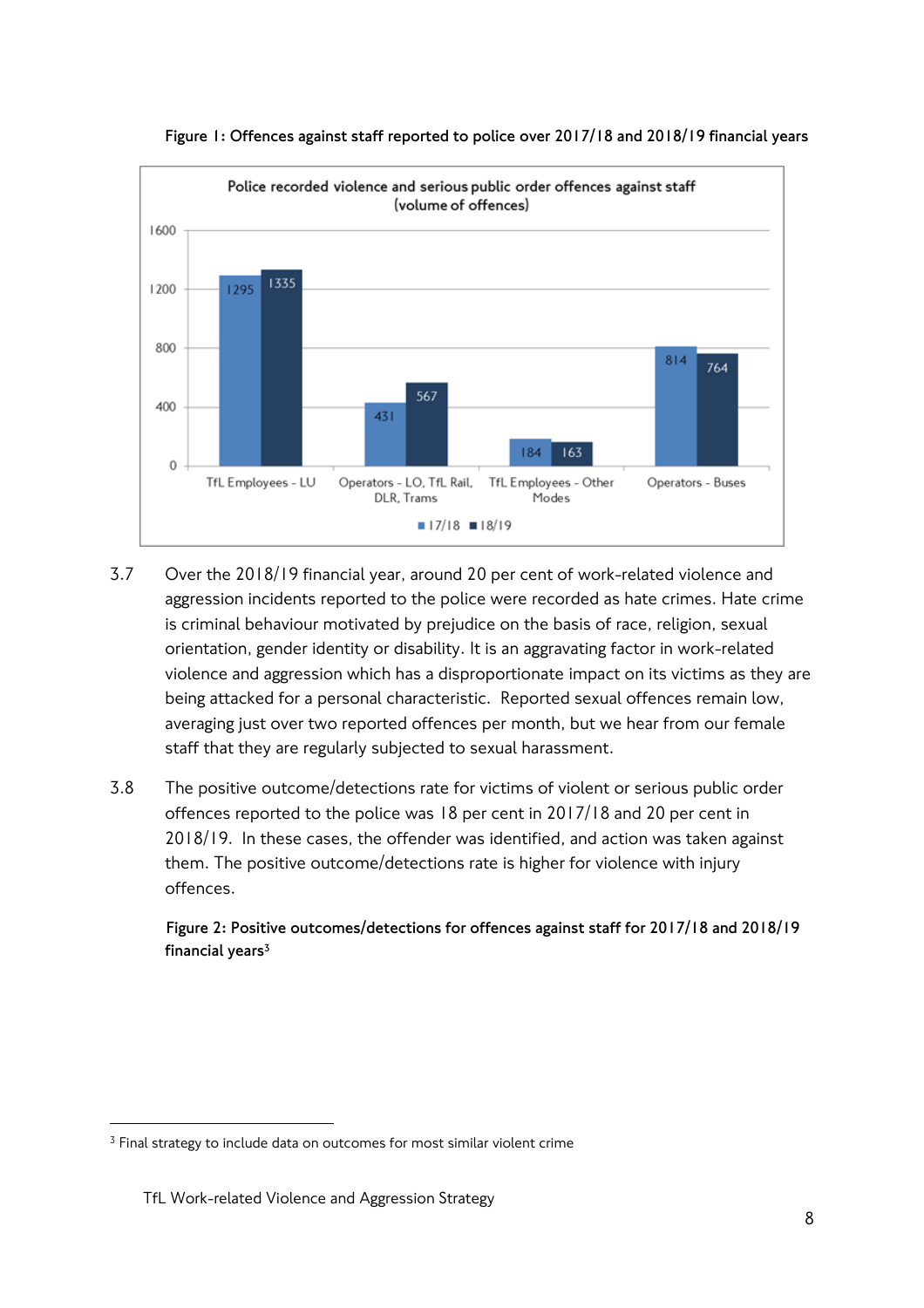

**Figure 1: Offences against staff reported to police over 2017/18 and 2018/19 financial years** 

- 3.7 Over the 2018/19 financial year, around 20 per cent of work-related violence and aggression incidents reported to the police were recorded as hate crimes. Hate crime is criminal behaviour motivated by prejudice on the basis of race, religion, sexual orientation, gender identity or disability. It is an aggravating factor in work-related violence and aggression which has a disproportionate impact on its victims as they are being attacked for a personal characteristic. Reported sexual offences remain low, averaging just over two reported offences per month, but we hear from our female staff that they are regularly subjected to sexual harassment.
- 3.8 The positive outcome/detections rate for victims of violent or serious public order offences reported to the police was 18 per cent in 2017/18 and 20 per cent in 2018/19. In these cases, the offender was identified, and action was taken against them. The positive outcome/detections rate is higher for violence with injury offences.

**Figure 2: Positive outcomes/detections for offences against staff for 2017/18 and 2018/19 financial years<sup>3</sup>**

 $\overline{\phantom{a}}$ 

<sup>&</sup>lt;sup>3</sup> Final strategy to include data on outcomes for most similar violent crime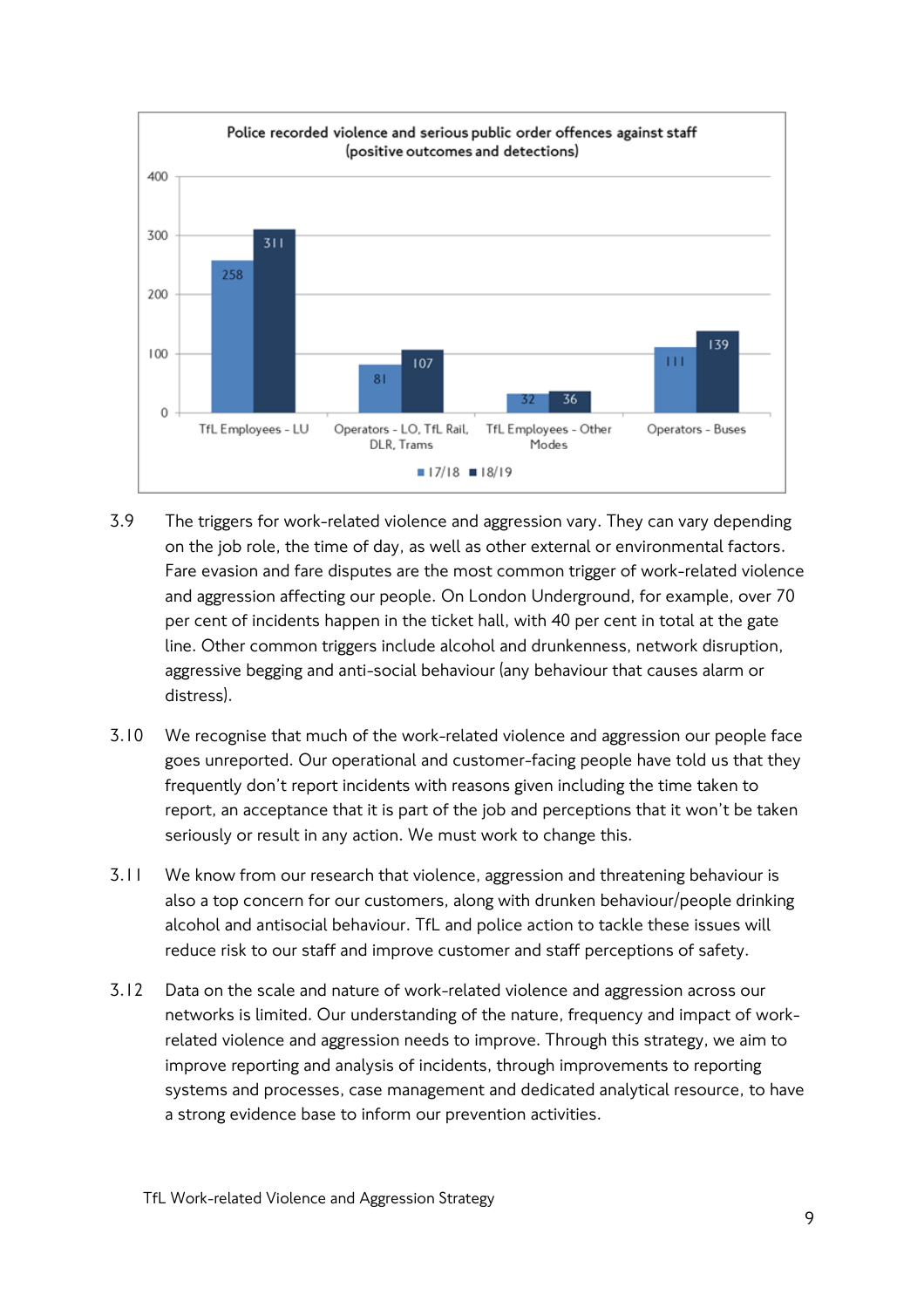

- 3.9 The triggers for work-related violence and aggression vary. They can vary depending on the job role, the time of day, as well as other external or environmental factors. Fare evasion and fare disputes are the most common trigger of work-related violence and aggression affecting our people. On London Underground, for example, over 70 per cent of incidents happen in the ticket hall, with 40 per cent in total at the gate line. Other common triggers include alcohol and drunkenness, network disruption, aggressive begging and anti-social behaviour (any behaviour that causes alarm or distress).
- 3.10 We recognise that much of the work-related violence and aggression our people face goes unreported. Our operational and customer-facing people have told us that they frequently don't report incidents with reasons given including the time taken to report, an acceptance that it is part of the job and perceptions that it won't be taken seriously or result in any action. We must work to change this.
- 3.11 We know from our research that violence, aggression and threatening behaviour is also a top concern for our customers, along with drunken behaviour/people drinking alcohol and antisocial behaviour. TfL and police action to tackle these issues will reduce risk to our staff and improve customer and staff perceptions of safety.
- 3.12 Data on the scale and nature of work-related violence and aggression across our networks is limited. Our understanding of the nature, frequency and impact of workrelated violence and aggression needs to improve. Through this strategy, we aim to improve reporting and analysis of incidents, through improvements to reporting systems and processes, case management and dedicated analytical resource, to have a strong evidence base to inform our prevention activities.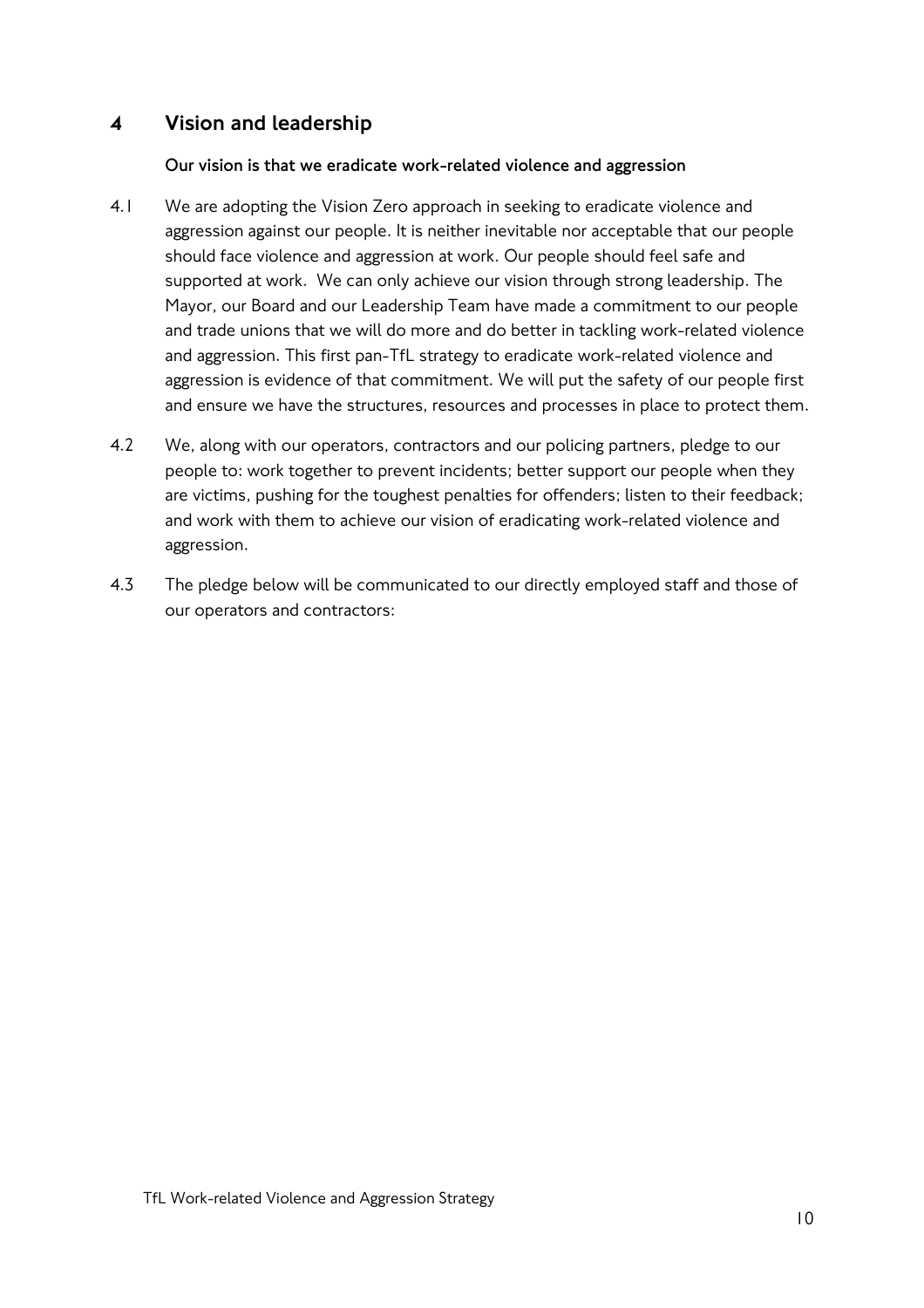## 4 Vision and leadership

#### **Our vision is that we eradicate work-related violence and aggression**

- 4.1 We are adopting the Vision Zero approach in seeking to eradicate violence and aggression against our people. It is neither inevitable nor acceptable that our people should face violence and aggression at work. Our people should feel safe and supported at work. We can only achieve our vision through strong leadership. The Mayor, our Board and our Leadership Team have made a commitment to our people and trade unions that we will do more and do better in tackling work-related violence and aggression. This first pan-TfL strategy to eradicate work-related violence and aggression is evidence of that commitment. We will put the safety of our people first and ensure we have the structures, resources and processes in place to protect them.
- 4.2 We, along with our operators, contractors and our policing partners, pledge to our people to: work together to prevent incidents; better support our people when they are victims, pushing for the toughest penalties for offenders; listen to their feedback; and work with them to achieve our vision of eradicating work-related violence and aggression.
- 4.3 The pledge below will be communicated to our directly employed staff and those of our operators and contractors: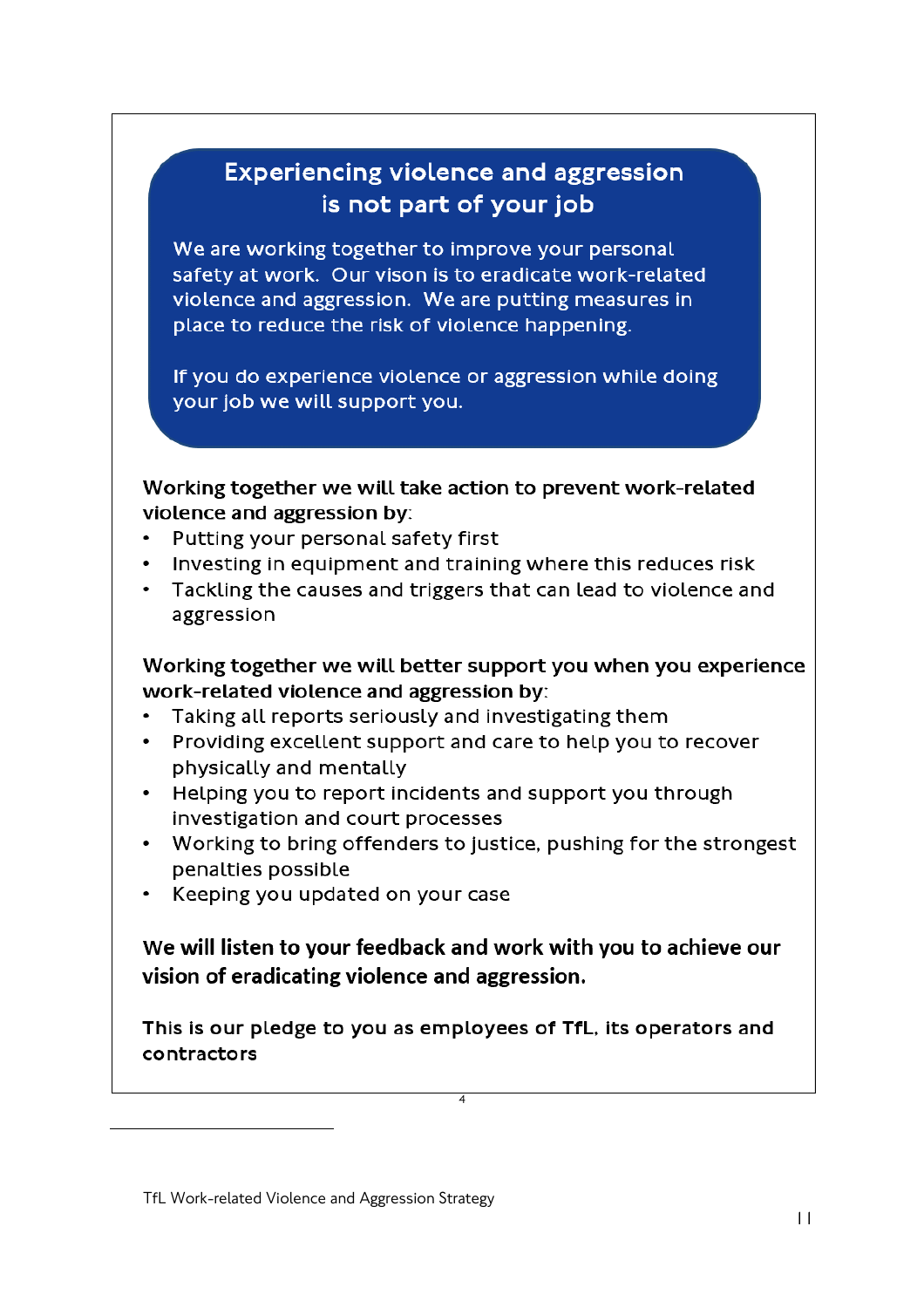# **Experiencing violence and aggression** is not part of your job

We are working together to improve your personal safety at work. Our vison is to eradicate work-related violence and aggression. We are putting measures in place to reduce the risk of violence happening.

If you do experience violence or aggression while doing your job we will support you.

Working together we will take action to prevent work-related violence and aggression by:

- Putting your personal safety first
- Investing in equipment and training where this reduces risk
- Tackling the causes and triggers that can lead to violence and aggression

Working together we will better support you when you experience work-related violence and aggression by:

- Taking all reports seriously and investigating them
- Providing excellent support and care to help you to recover physically and mentally
- Helping you to report incidents and support you through investigation and court processes
- Working to bring offenders to justice, pushing for the strongest penalties possible
- Keeping you updated on your case

We will listen to your feedback and work with you to achieve our vision of eradicating violence and aggression.

This is our pledge to you as employees of TfL, its operators and contractors

 $\overline{\phantom{a}}$ 

TfL Work-related Violence and Aggression Strategy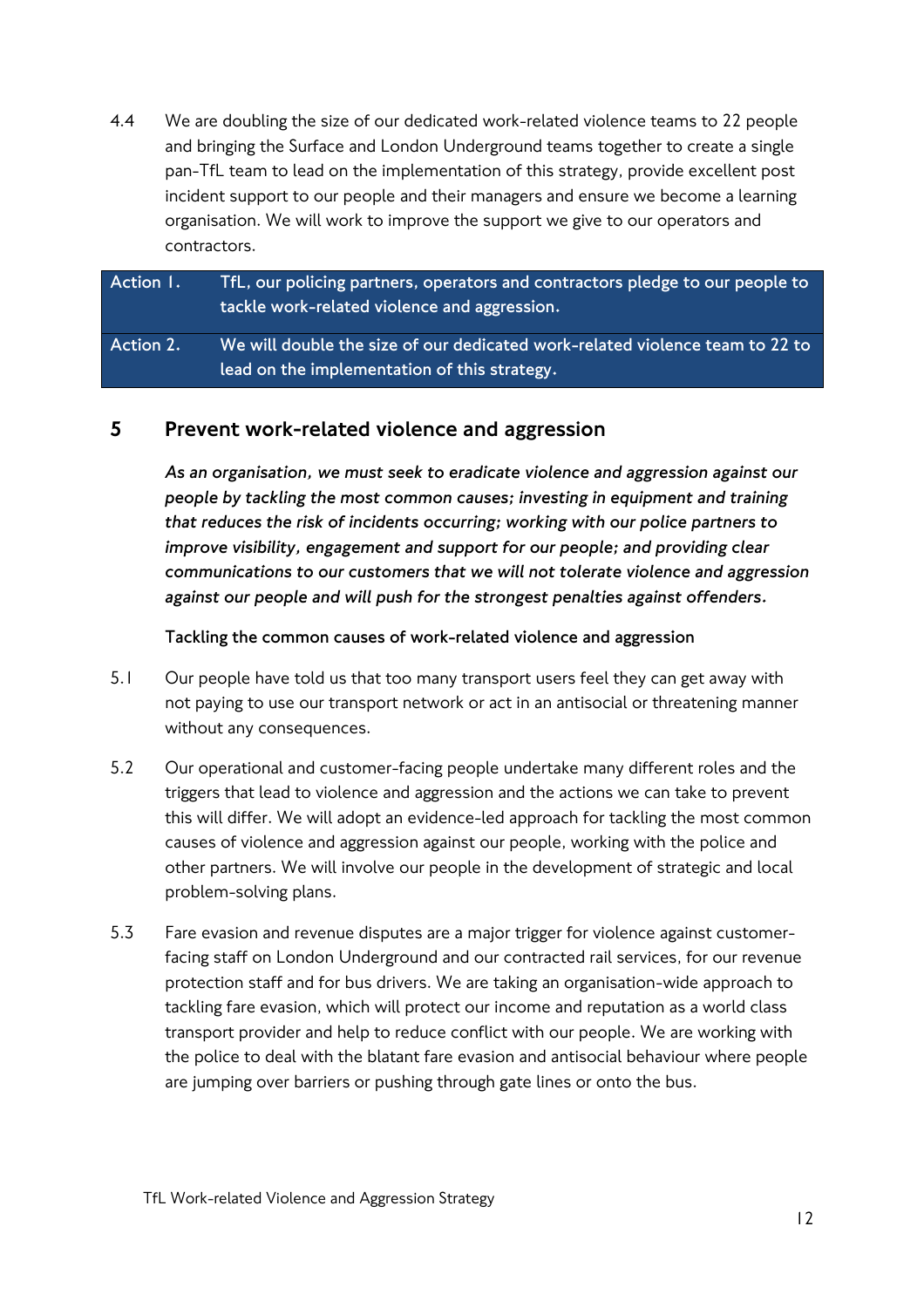4.4 We are doubling the size of our dedicated work-related violence teams to 22 people and bringing the Surface and London Underground teams together to create a single pan-TfL team to lead on the implementation of this strategy, provide excellent post incident support to our people and their managers and ensure we become a learning organisation. We will work to improve the support we give to our operators and contractors.

**Action 1. TfL, our policing partners, operators and contractors pledge to our people to tackle work-related violence and aggression. Action 2. We will double the size of our dedicated work-related violence team to 22 to** 

## 5 Prevent work-related violence and aggression

**lead on the implementation of this strategy.**

*As an organisation, we must seek to eradicate violence and aggression against our people by tackling the most common causes; investing in equipment and training that reduces the risk of incidents occurring; working with our police partners to improve visibility, engagement and support for our people; and providing clear communications to our customers that we will not tolerate violence and aggression against our people and will push for the strongest penalties against offenders.* 

**Tackling the common causes of work-related violence and aggression**

- 5.1 Our people have told us that too many transport users feel they can get away with not paying to use our transport network or act in an antisocial or threatening manner without any consequences.
- 5.2 Our operational and customer-facing people undertake many different roles and the triggers that lead to violence and aggression and the actions we can take to prevent this will differ. We will adopt an evidence-led approach for tackling the most common causes of violence and aggression against our people, working with the police and other partners. We will involve our people in the development of strategic and local problem-solving plans.
- 5.3 Fare evasion and revenue disputes are a major trigger for violence against customerfacing staff on London Underground and our contracted rail services, for our revenue protection staff and for bus drivers. We are taking an organisation-wide approach to tackling fare evasion, which will protect our income and reputation as a world class transport provider and help to reduce conflict with our people. We are working with the police to deal with the blatant fare evasion and antisocial behaviour where people are jumping over barriers or pushing through gate lines or onto the bus.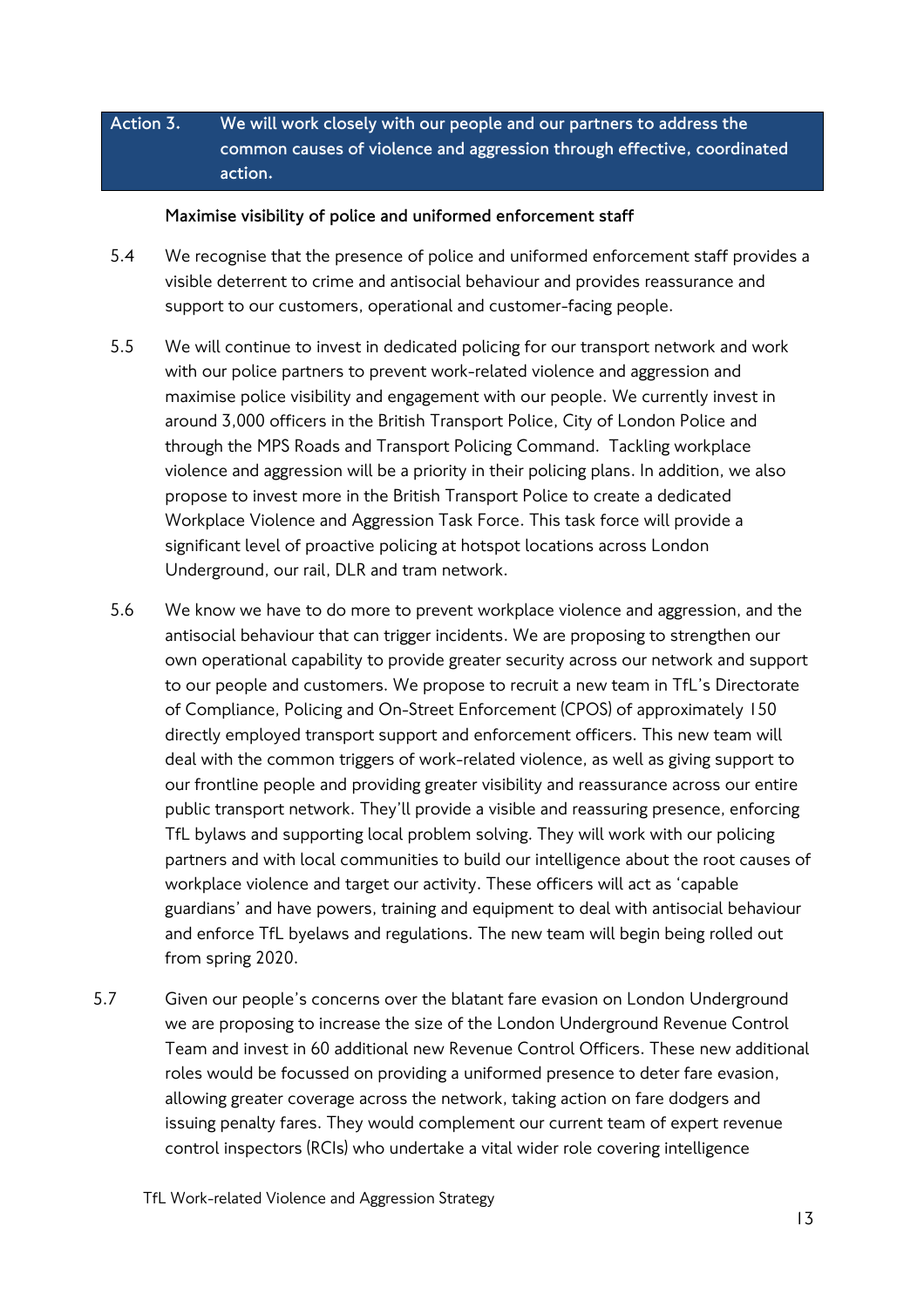## **Action 3. We will work closely with our people and our partners to address the common causes of violence and aggression through effective, coordinated action.**

## **Maximise visibility of police and uniformed enforcement staff**

- 5.4 We recognise that the presence of police and uniformed enforcement staff provides a visible deterrent to crime and antisocial behaviour and provides reassurance and support to our customers, operational and customer-facing people.
- 5.5 We will continue to invest in dedicated policing for our transport network and work with our police partners to prevent work-related violence and aggression and maximise police visibility and engagement with our people. We currently invest in around 3,000 officers in the British Transport Police, City of London Police and through the MPS Roads and Transport Policing Command. Tackling workplace violence and aggression will be a priority in their policing plans. In addition, we also propose to invest more in the British Transport Police to create a dedicated Workplace Violence and Aggression Task Force. This task force will provide a significant level of proactive policing at hotspot locations across London Underground, our rail, DLR and tram network.
- 5.6 We know we have to do more to prevent workplace violence and aggression, and the antisocial behaviour that can trigger incidents. We are proposing to strengthen our own operational capability to provide greater security across our network and support to our people and customers. We propose to recruit a new team in TfL's Directorate of Compliance, Policing and On-Street Enforcement (CPOS) of approximately 150 directly employed transport support and enforcement officers. This new team will deal with the common triggers of work-related violence, as well as giving support to our frontline people and providing greater visibility and reassurance across our entire public transport network. They'll provide a visible and reassuring presence, enforcing TfL bylaws and supporting local problem solving. They will work with our policing partners and with local communities to build our intelligence about the root causes of workplace violence and target our activity. These officers will act as 'capable guardians' and have powers, training and equipment to deal with antisocial behaviour and enforce TfL byelaws and regulations. The new team will begin being rolled out from spring 2020.
- 5.7 Given our people's concerns over the blatant fare evasion on London Underground we are proposing to increase the size of the London Underground Revenue Control Team and invest in 60 additional new Revenue Control Officers. These new additional roles would be focussed on providing a uniformed presence to deter fare evasion, allowing greater coverage across the network, taking action on fare dodgers and issuing penalty fares. They would complement our current team of expert revenue control inspectors (RCIs) who undertake a vital wider role covering intelligence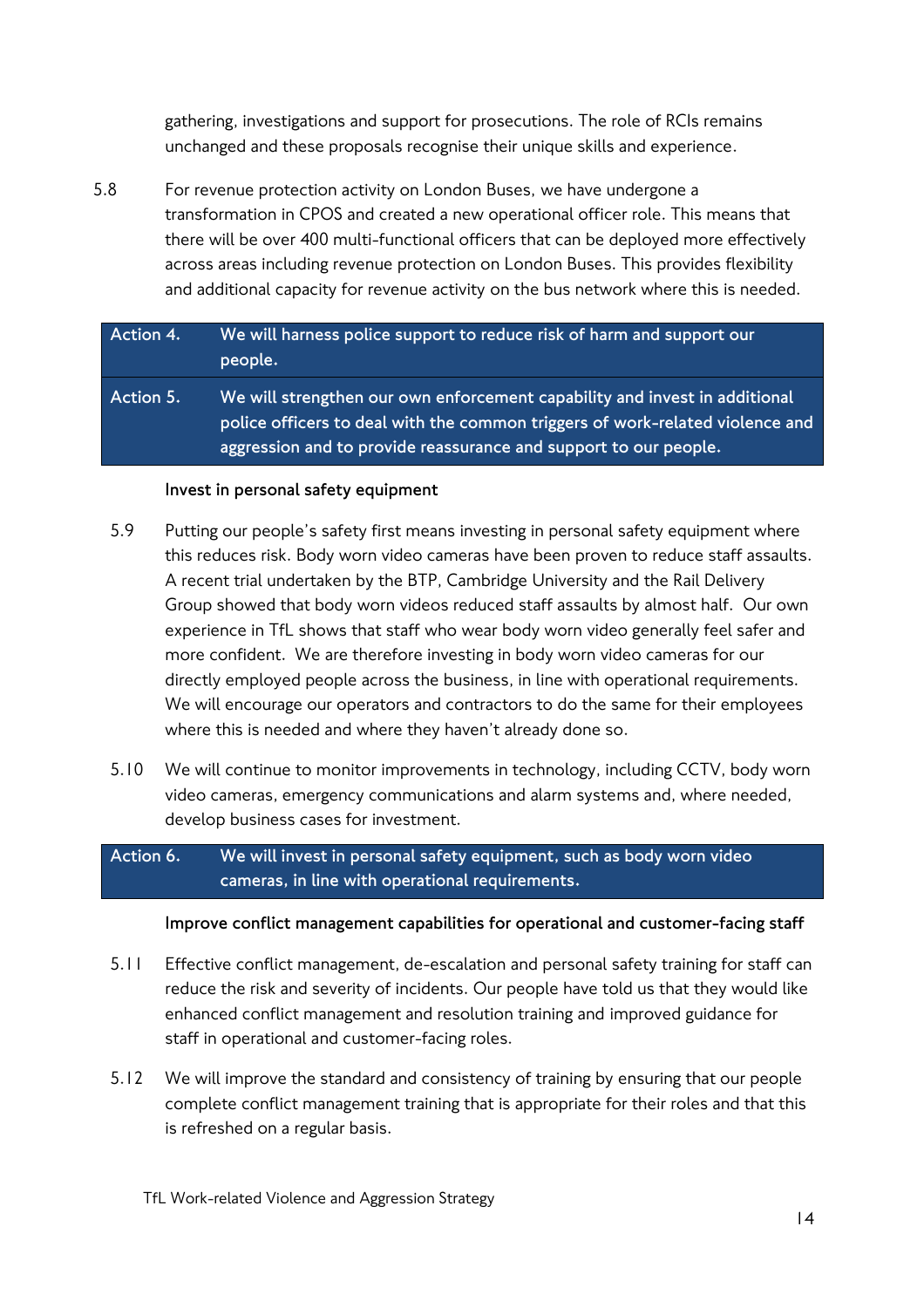gathering, investigations and support for prosecutions. The role of RCIs remains unchanged and these proposals recognise their unique skills and experience.

5.8 For revenue protection activity on London Buses, we have undergone a transformation in CPOS and created a new operational officer role. This means that there will be over 400 multi-functional officers that can be deployed more effectively across areas including revenue protection on London Buses. This provides flexibility and additional capacity for revenue activity on the bus network where this is needed.

## **Action 4. We will harness police support to reduce risk of harm and support our people.**

**Action 5. We will strengthen our own enforcement capability and invest in additional police officers to deal with the common triggers of work-related violence and aggression and to provide reassurance and support to our people.**

## **Invest in personal safety equipment**

- 5.9 Putting our people's safety first means investing in personal safety equipment where this reduces risk. Body worn video cameras have been proven to reduce staff assaults. A recent trial undertaken by the BTP, Cambridge University and the Rail Delivery Group showed that body worn videos reduced staff assaults by almost half. Our own experience in TfL shows that staff who wear body worn video generally feel safer and more confident. We are therefore investing in body worn video cameras for our directly employed people across the business, in line with operational requirements. We will encourage our operators and contractors to do the same for their employees where this is needed and where they haven't already done so.
- 5.10 We will continue to monitor improvements in technology, including CCTV, body worn video cameras, emergency communications and alarm systems and, where needed, develop business cases for investment.

## **Action 6. We will invest in personal safety equipment, such as body worn video cameras, in line with operational requirements.**

#### **Improve conflict management capabilities for operational and customer-facing staff**

- 5.11 Effective conflict management, de-escalation and personal safety training for staff can reduce the risk and severity of incidents. Our people have told us that they would like enhanced conflict management and resolution training and improved guidance for staff in operational and customer-facing roles.
- 5.12 We will improve the standard and consistency of training by ensuring that our people complete conflict management training that is appropriate for their roles and that this is refreshed on a regular basis.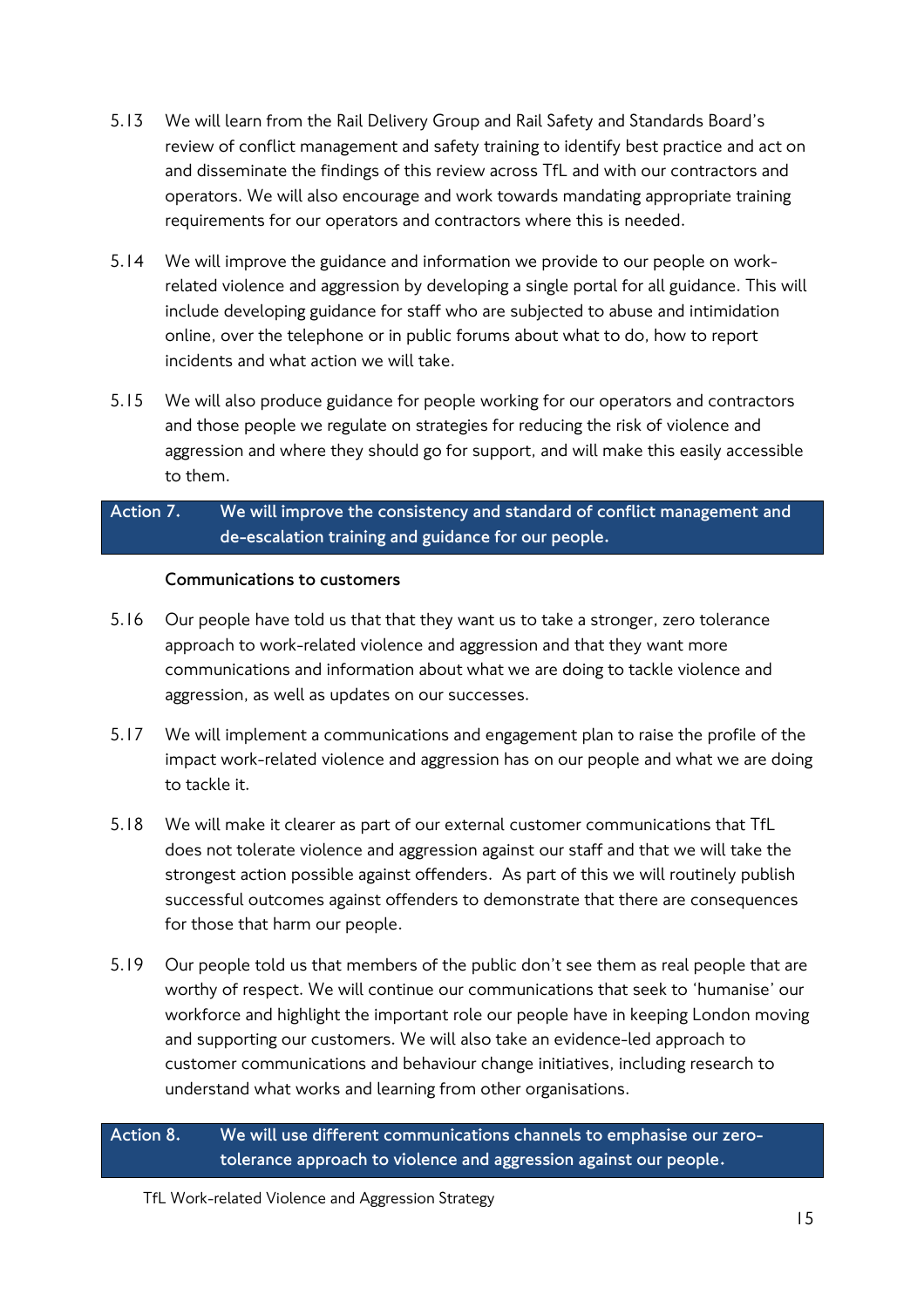- 5.13 We will learn from the Rail Delivery Group and Rail Safety and Standards Board's review of conflict management and safety training to identify best practice and act on and disseminate the findings of this review across TfL and with our contractors and operators. We will also encourage and work towards mandating appropriate training requirements for our operators and contractors where this is needed.
- 5.14 We will improve the guidance and information we provide to our people on workrelated violence and aggression by developing a single portal for all guidance. This will include developing guidance for staff who are subjected to abuse and intimidation online, over the telephone or in public forums about what to do, how to report incidents and what action we will take.
- 5.15 We will also produce guidance for people working for our operators and contractors and those people we regulate on strategies for reducing the risk of violence and aggression and where they should go for support, and will make this easily accessible to them.

## **Action 7. We will improve the consistency and standard of conflict management and de-escalation training and guidance for our people.**

## **Communications to customers**

- 5.16 Our people have told us that that they want us to take a stronger, zero tolerance approach to work-related violence and aggression and that they want more communications and information about what we are doing to tackle violence and aggression, as well as updates on our successes.
- 5.17 We will implement a communications and engagement plan to raise the profile of the impact work-related violence and aggression has on our people and what we are doing to tackle it.
- 5.18 We will make it clearer as part of our external customer communications that TfL does not tolerate violence and aggression against our staff and that we will take the strongest action possible against offenders. As part of this we will routinely publish successful outcomes against offenders to demonstrate that there are consequences for those that harm our people.
- 5.19 Our people told us that members of the public don't see them as real people that are worthy of respect. We will continue our communications that seek to 'humanise' our workforce and highlight the important role our people have in keeping London moving and supporting our customers. We will also take an evidence-led approach to customer communications and behaviour change initiatives, including research to understand what works and learning from other organisations.

**Action 8. We will use different communications channels to emphasise our zerotolerance approach to violence and aggression against our people.**

TfL Work-related Violence and Aggression Strategy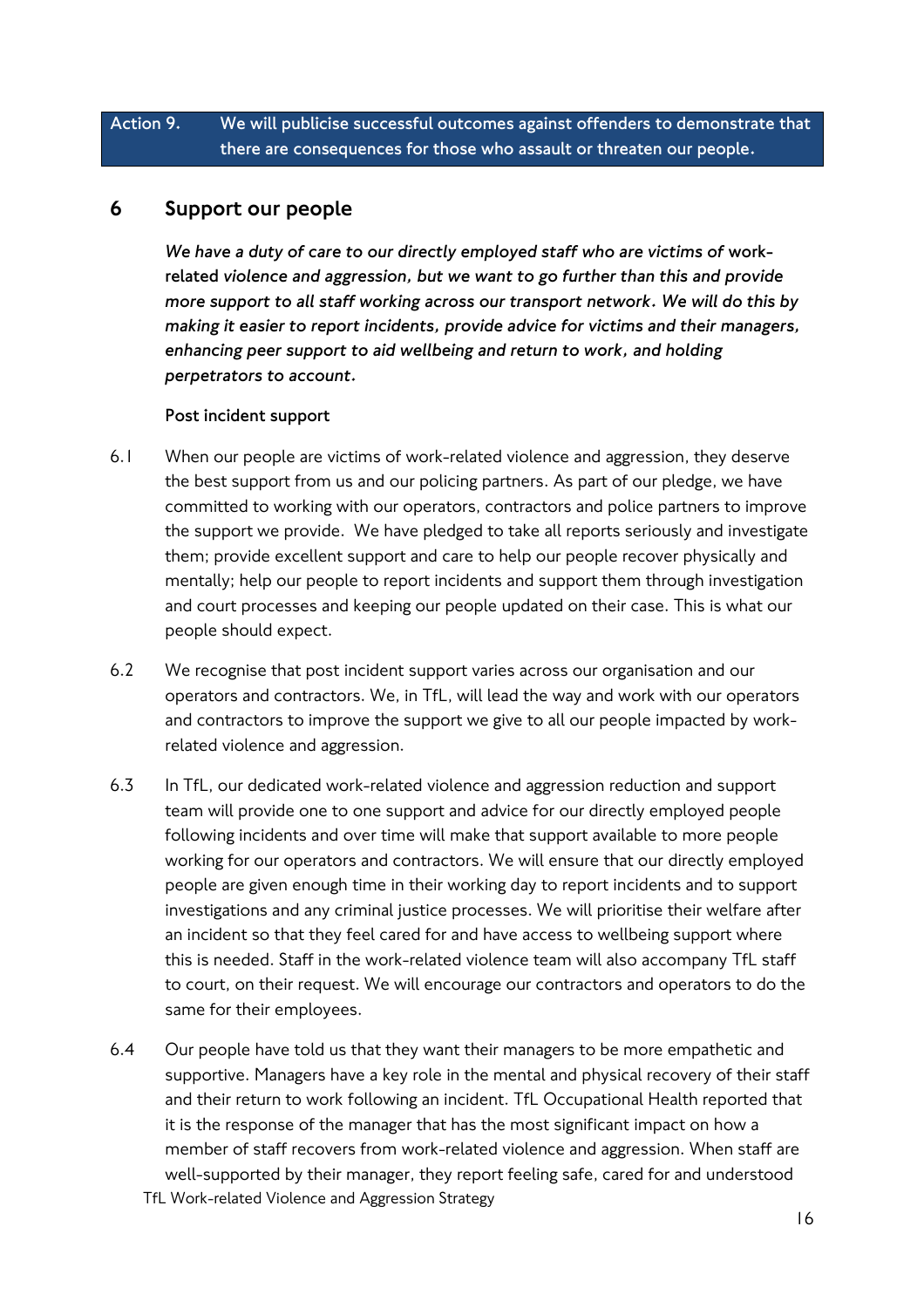## **Action 9. We will publicise successful outcomes against offenders to demonstrate that there are consequences for those who assault or threaten our people.**

## 6 Support our people

*We have a duty of care to our directly employed staff who are victims of* **workrelated** *violence and aggression, but we want to go further than this and provide more support to all staff working across our transport network. We will do this by making it easier to report incidents, provide advice for victims and their managers, enhancing peer support to aid wellbeing and return to work, and holding perpetrators to account.*

#### **Post incident support**

- 6.1 When our people are victims of work-related violence and aggression, they deserve the best support from us and our policing partners. As part of our pledge, we have committed to working with our operators, contractors and police partners to improve the support we provide. We have pledged to take all reports seriously and investigate them; provide excellent support and care to help our people recover physically and mentally; help our people to report incidents and support them through investigation and court processes and keeping our people updated on their case. This is what our people should expect.
- 6.2 We recognise that post incident support varies across our organisation and our operators and contractors. We, in TfL, will lead the way and work with our operators and contractors to improve the support we give to all our people impacted by workrelated violence and aggression.
- 6.3 In TfL, our dedicated work-related violence and aggression reduction and support team will provide one to one support and advice for our directly employed people following incidents and over time will make that support available to more people working for our operators and contractors. We will ensure that our directly employed people are given enough time in their working day to report incidents and to support investigations and any criminal justice processes. We will prioritise their welfare after an incident so that they feel cared for and have access to wellbeing support where this is needed. Staff in the work-related violence team will also accompany TfL staff to court, on their request. We will encourage our contractors and operators to do the same for their employees.
- 6.4 Our people have told us that they want their managers to be more empathetic and supportive. Managers have a key role in the mental and physical recovery of their staff and their return to work following an incident. TfL Occupational Health reported that it is the response of the manager that has the most significant impact on how a member of staff recovers from work-related violence and aggression. When staff are well-supported by their manager, they report feeling safe, cared for and understood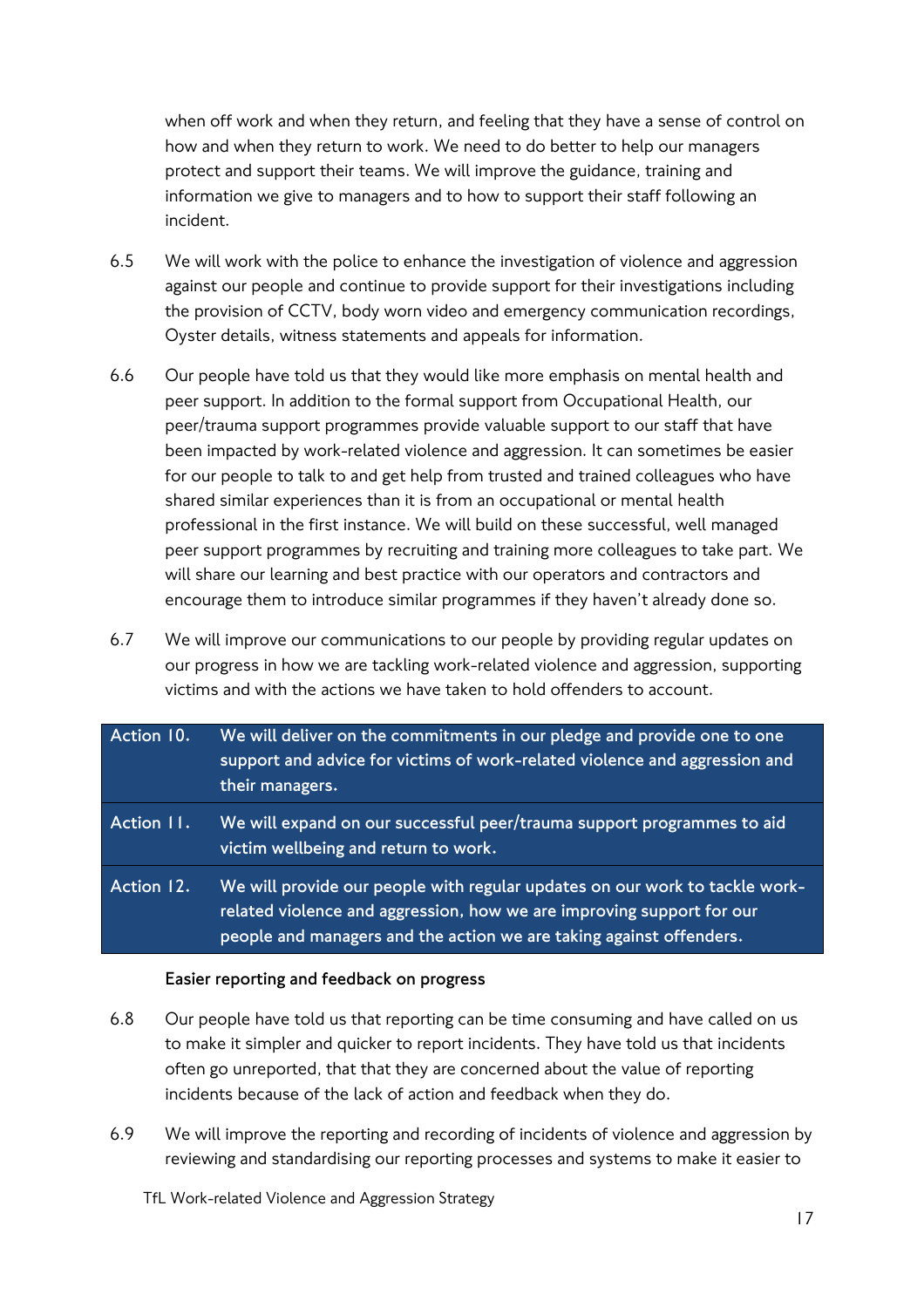when off work and when they return, and feeling that they have a sense of control on how and when they return to work. We need to do better to help our managers protect and support their teams. We will improve the guidance, training and information we give to managers and to how to support their staff following an incident.

- 6.5 We will work with the police to enhance the investigation of violence and aggression against our people and continue to provide support for their investigations including the provision of CCTV, body worn video and emergency communication recordings, Oyster details, witness statements and appeals for information.
- 6.6 Our people have told us that they would like more emphasis on mental health and peer support. In addition to the formal support from Occupational Health, our peer/trauma support programmes provide valuable support to our staff that have been impacted by work-related violence and aggression. It can sometimes be easier for our people to talk to and get help from trusted and trained colleagues who have shared similar experiences than it is from an occupational or mental health professional in the first instance. We will build on these successful, well managed peer support programmes by recruiting and training more colleagues to take part. We will share our learning and best practice with our operators and contractors and encourage them to introduce similar programmes if they haven't already done so.
- 6.7 We will improve our communications to our people by providing regular updates on our progress in how we are tackling work-related violence and aggression, supporting victims and with the actions we have taken to hold offenders to account.

| Action 10. | We will deliver on the commitments in our pledge and provide one to one<br>support and advice for victims of work-related violence and aggression and<br>their managers.                                                    |
|------------|-----------------------------------------------------------------------------------------------------------------------------------------------------------------------------------------------------------------------------|
| Action 11. | We will expand on our successful peer/trauma support programmes to aid<br>victim wellbeing and return to work.                                                                                                              |
| Action 12. | We will provide our people with regular updates on our work to tackle work-<br>related violence and aggression, how we are improving support for our<br>people and managers and the action we are taking against offenders. |

#### **Easier reporting and feedback on progress**

- 6.8 Our people have told us that reporting can be time consuming and have called on us to make it simpler and quicker to report incidents. They have told us that incidents often go unreported, that that they are concerned about the value of reporting incidents because of the lack of action and feedback when they do.
- 6.9 We will improve the reporting and recording of incidents of violence and aggression by reviewing and standardising our reporting processes and systems to make it easier to

TfL Work-related Violence and Aggression Strategy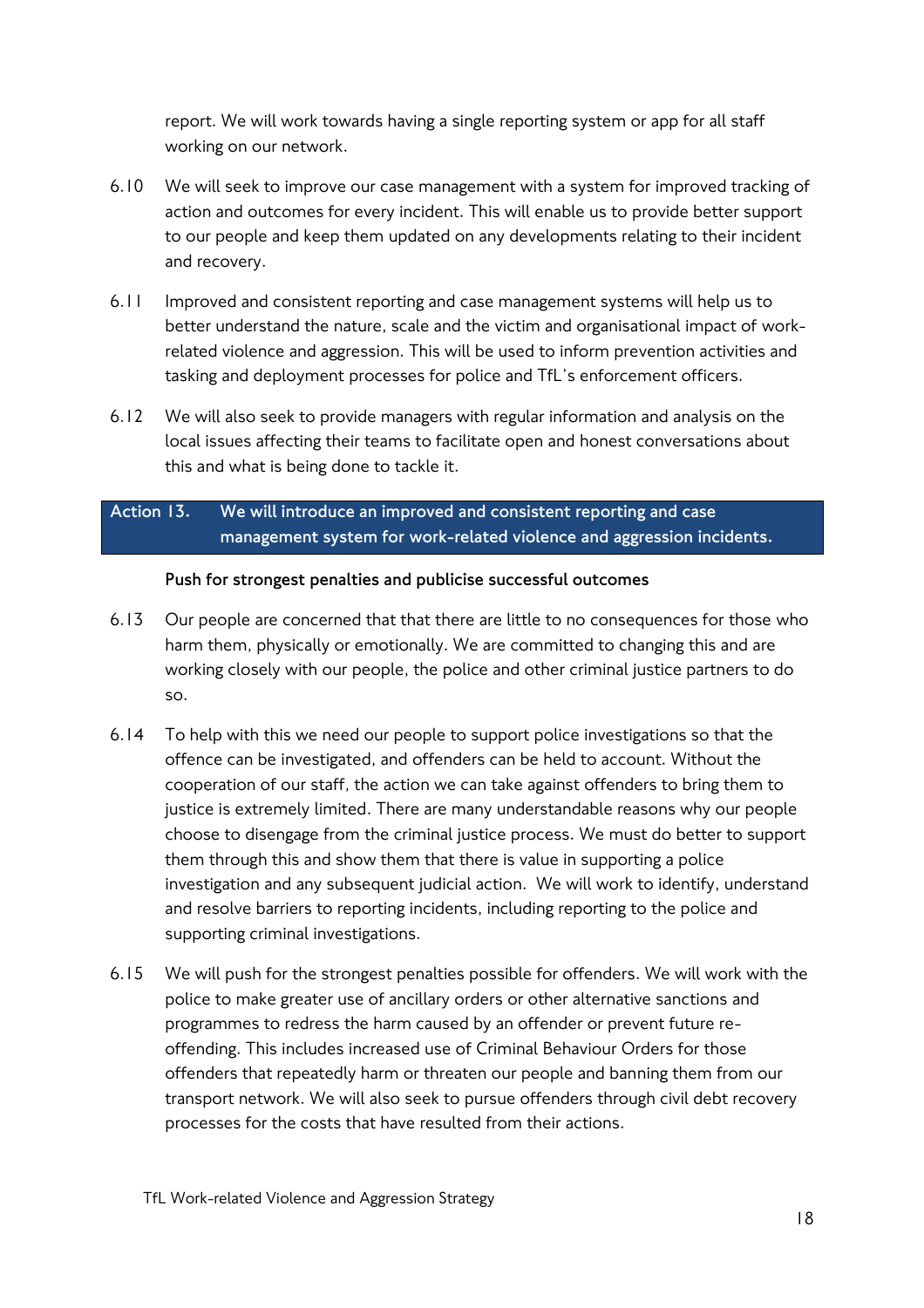report. We will work towards having a single reporting system or app for all staff working on our network.

- 6.10 We will seek to improve our case management with a system for improved tracking of action and outcomes for every incident. This will enable us to provide better support to our people and keep them updated on any developments relating to their incident and recovery.
- 6.11 Improved and consistent reporting and case management systems will help us to better understand the nature, scale and the victim and organisational impact of workrelated violence and aggression. This will be used to inform prevention activities and tasking and deployment processes for police and TfL's enforcement officers.
- 6.12 We will also seek to provide managers with regular information and analysis on the local issues affecting their teams to facilitate open and honest conversations about this and what is being done to tackle it.

## **Action 13. We will introduce an improved and consistent reporting and case management system for work-related violence and aggression incidents.**

#### **Push for strongest penalties and publicise successful outcomes**

- 6.13 Our people are concerned that that there are little to no consequences for those who harm them, physically or emotionally. We are committed to changing this and are working closely with our people, the police and other criminal justice partners to do so.
- 6.14 To help with this we need our people to support police investigations so that the offence can be investigated, and offenders can be held to account. Without the cooperation of our staff, the action we can take against offenders to bring them to justice is extremely limited. There are many understandable reasons why our people choose to disengage from the criminal justice process. We must do better to support them through this and show them that there is value in supporting a police investigation and any subsequent judicial action. We will work to identify, understand and resolve barriers to reporting incidents, including reporting to the police and supporting criminal investigations.
- 6.15 We will push for the strongest penalties possible for offenders. We will work with the police to make greater use of ancillary orders or other alternative sanctions and programmes to redress the harm caused by an offender or prevent future reoffending. This includes increased use of Criminal Behaviour Orders for those offenders that repeatedly harm or threaten our people and banning them from our transport network. We will also seek to pursue offenders through civil debt recovery processes for the costs that have resulted from their actions.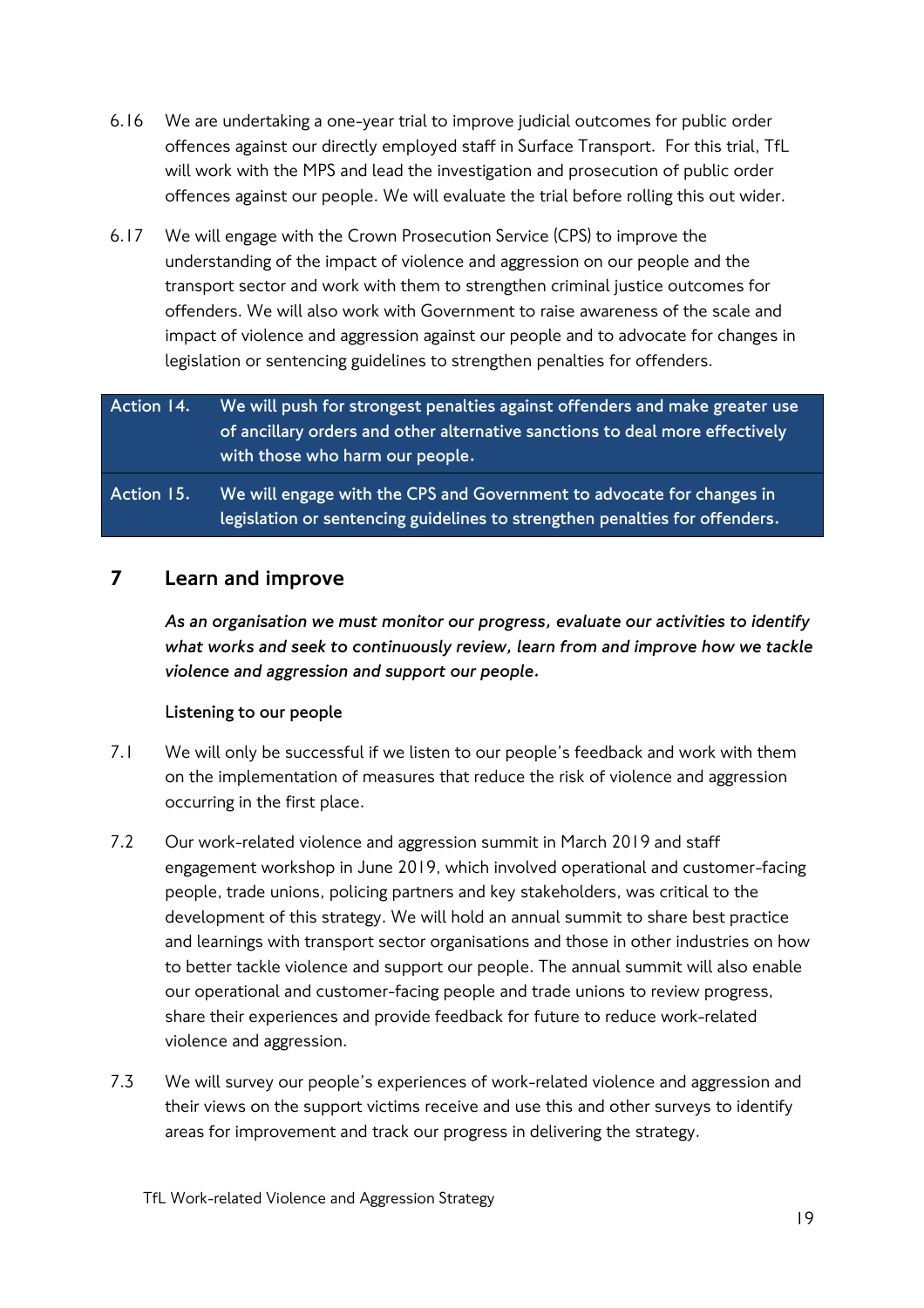- 6.16 We are undertaking a one-year trial to improve judicial outcomes for public order offences against our directly employed staff in Surface Transport. For this trial, TfL will work with the MPS and lead the investigation and prosecution of public order offences against our people. We will evaluate the trial before rolling this out wider.
- 6.17 We will engage with the Crown Prosecution Service (CPS) to improve the understanding of the impact of violence and aggression on our people and the transport sector and work with them to strengthen criminal justice outcomes for offenders. We will also work with Government to raise awareness of the scale and impact of violence and aggression against our people and to advocate for changes in legislation or sentencing guidelines to strengthen penalties for offenders.

## **Action 14. We will push for strongest penalties against offenders and make greater use of ancillary orders and other alternative sanctions to deal more effectively with those who harm our people.**

**Action 15. We will engage with the CPS and Government to advocate for changes in legislation or sentencing guidelines to strengthen penalties for offenders.**

## 7 Learn and improve

*As an organisation we must monitor our progress, evaluate our activities to identify what works and seek to continuously review, learn from and improve how we tackle violence and aggression and support our people.* 

#### **Listening to our people**

- 7.1 We will only be successful if we listen to our people's feedback and work with them on the implementation of measures that reduce the risk of violence and aggression occurring in the first place.
- 7.2 Our work-related violence and aggression summit in March 2019 and staff engagement workshop in June 2019, which involved operational and customer-facing people, trade unions, policing partners and key stakeholders, was critical to the development of this strategy. We will hold an annual summit to share best practice and learnings with transport sector organisations and those in other industries on how to better tackle violence and support our people. The annual summit will also enable our operational and customer-facing people and trade unions to review progress, share their experiences and provide feedback for future to reduce work-related violence and aggression.
- 7.3 We will survey our people's experiences of work-related violence and aggression and their views on the support victims receive and use this and other surveys to identify areas for improvement and track our progress in delivering the strategy.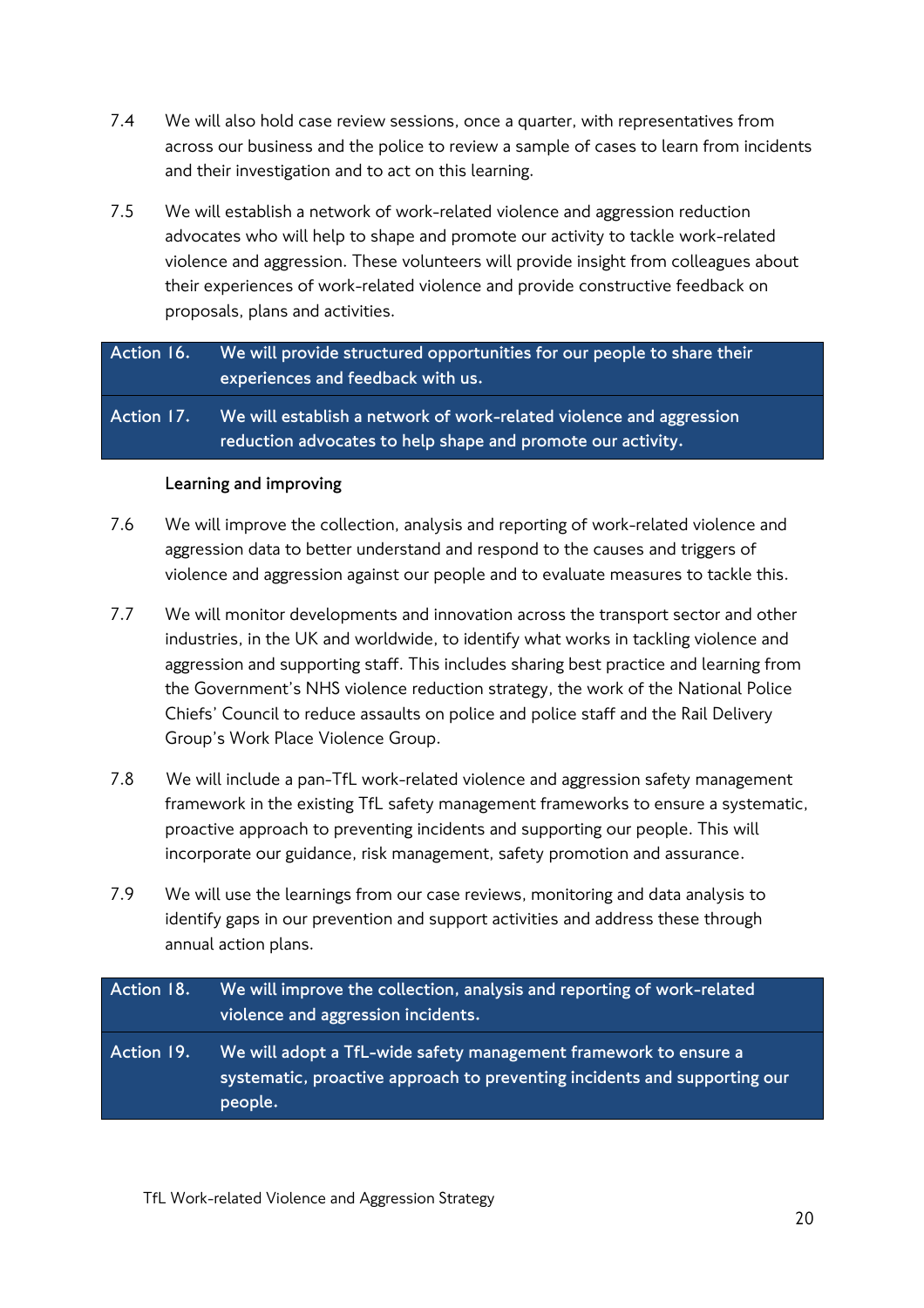- 7.4 We will also hold case review sessions, once a quarter, with representatives from across our business and the police to review a sample of cases to learn from incidents and their investigation and to act on this learning.
- 7.5 We will establish a network of work-related violence and aggression reduction advocates who will help to shape and promote our activity to tackle work-related violence and aggression. These volunteers will provide insight from colleagues about their experiences of work-related violence and provide constructive feedback on proposals, plans and activities.

**Action 16. We will provide structured opportunities for our people to share their experiences and feedback with us.**

**Action 17. We will establish a network of work-related violence and aggression reduction advocates to help shape and promote our activity.**

#### **Learning and improving**

- 7.6 We will improve the collection, analysis and reporting of work-related violence and aggression data to better understand and respond to the causes and triggers of violence and aggression against our people and to evaluate measures to tackle this.
- 7.7 We will monitor developments and innovation across the transport sector and other industries, in the UK and worldwide, to identify what works in tackling violence and aggression and supporting staff. This includes sharing best practice and learning from the Government's NHS violence reduction strategy, the work of the National Police Chiefs' Council to reduce assaults on police and police staff and the Rail Delivery Group's Work Place Violence Group.
- 7.8 We will include a pan-TfL work-related violence and aggression safety management framework in the existing TfL safety management frameworks to ensure a systematic, proactive approach to preventing incidents and supporting our people. This will incorporate our guidance, risk management, safety promotion and assurance.
- 7.9 We will use the learnings from our case reviews, monitoring and data analysis to identify gaps in our prevention and support activities and address these through annual action plans.

**Action 18. We will improve the collection, analysis and reporting of work-related violence and aggression incidents. Action 19. We will adopt a TfL-wide safety management framework to ensure a systematic, proactive approach to preventing incidents and supporting our people.**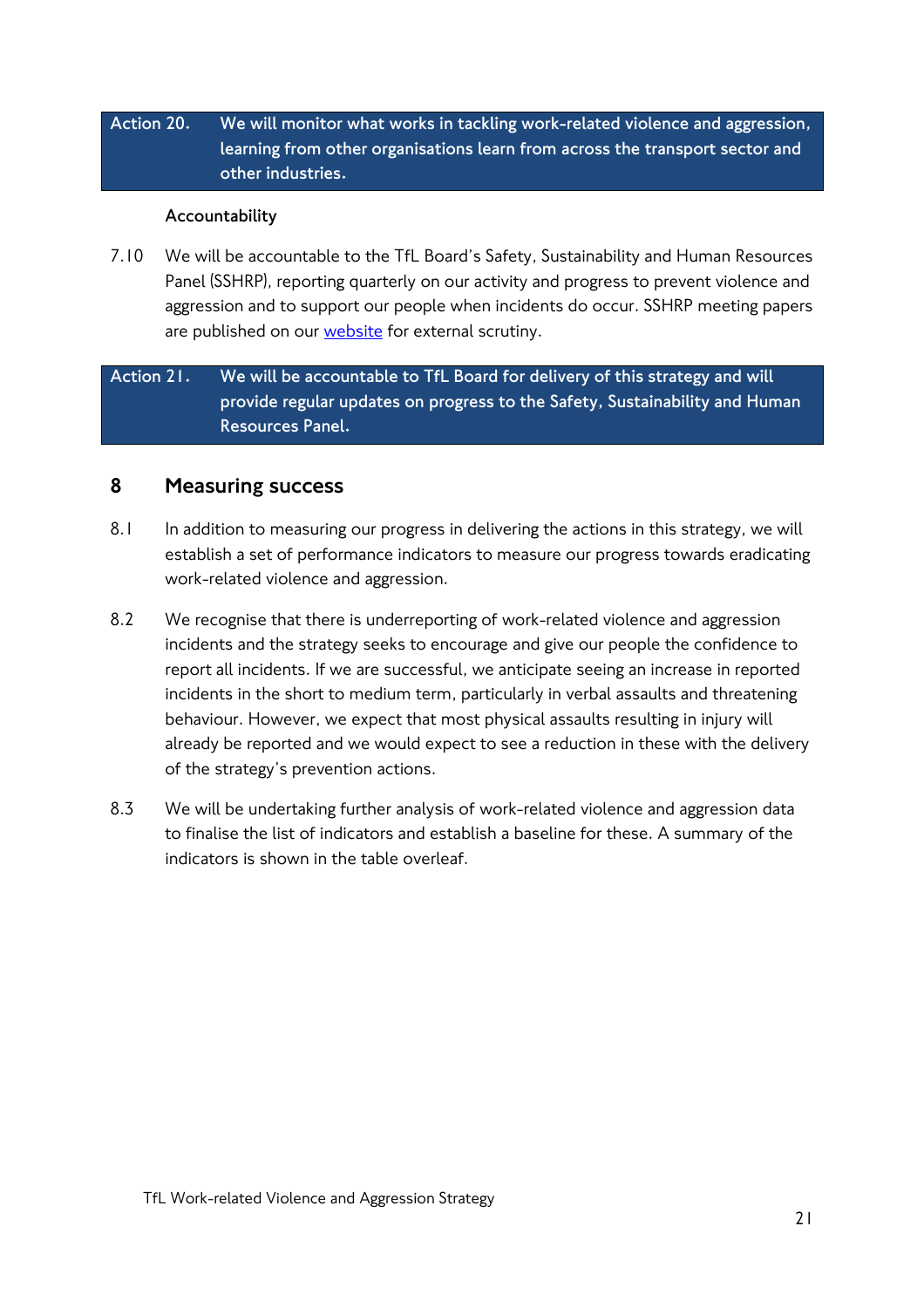## **Action 20. We will monitor what works in tackling work-related violence and aggression, learning from other organisations learn from across the transport sector and other industries.**

#### **Accountability**

7.10 We will be accountable to the TfL Board's Safety, Sustainability and Human Resources Panel (SSHRP), reporting quarterly on our activity and progress to prevent violence and aggression and to support our people when incidents do occur. SSHRP meeting papers are published on our [website](https://tfl.gov.uk/corporate/publications-and-reports/safety-sustainability-hr) for external scrutiny.

## **Action 21. We will be accountable to TfL Board for delivery of this strategy and will provide regular updates on progress to the Safety, Sustainability and Human Resources Panel.**

## 8 Measuring success

- 8.1 In addition to measuring our progress in delivering the actions in this strategy, we will establish a set of performance indicators to measure our progress towards eradicating work-related violence and aggression.
- 8.2 We recognise that there is underreporting of work-related violence and aggression incidents and the strategy seeks to encourage and give our people the confidence to report all incidents. If we are successful, we anticipate seeing an increase in reported incidents in the short to medium term, particularly in verbal assaults and threatening behaviour. However, we expect that most physical assaults resulting in injury will already be reported and we would expect to see a reduction in these with the delivery of the strategy's prevention actions.
- 8.3 We will be undertaking further analysis of work-related violence and aggression data to finalise the list of indicators and establish a baseline for these. A summary of the indicators is shown in the table overleaf.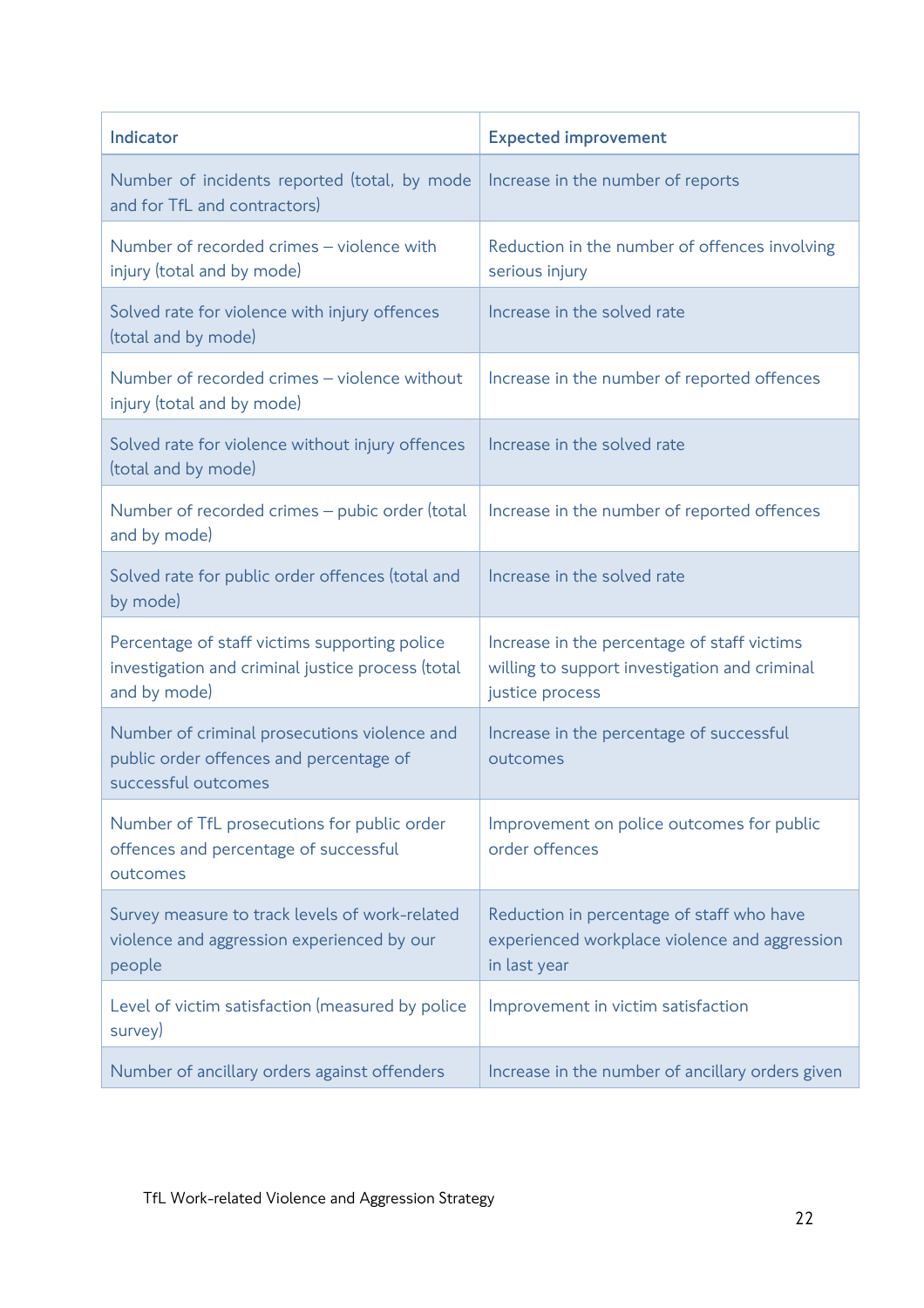| Indicator                                                                                                          | <b>Expected improvement</b>                                                                                     |
|--------------------------------------------------------------------------------------------------------------------|-----------------------------------------------------------------------------------------------------------------|
| Number of incidents reported (total, by mode<br>and for TfL and contractors)                                       | Increase in the number of reports                                                                               |
| Number of recorded crimes - violence with<br>injury (total and by mode)                                            | Reduction in the number of offences involving<br>serious injury                                                 |
| Solved rate for violence with injury offences<br>(total and by mode)                                               | Increase in the solved rate                                                                                     |
| Number of recorded crimes - violence without<br>injury (total and by mode)                                         | Increase in the number of reported offences                                                                     |
| Solved rate for violence without injury offences<br>(total and by mode)                                            | Increase in the solved rate                                                                                     |
| Number of recorded crimes - pubic order (total<br>and by mode)                                                     | Increase in the number of reported offences                                                                     |
| Solved rate for public order offences (total and<br>by mode)                                                       | Increase in the solved rate                                                                                     |
| Percentage of staff victims supporting police<br>investigation and criminal justice process (total<br>and by mode) | Increase in the percentage of staff victims<br>willing to support investigation and criminal<br>justice process |
| Number of criminal prosecutions violence and<br>public order offences and percentage of<br>successful outcomes     | Increase in the percentage of successful<br>outcomes                                                            |
| Number of TfL prosecutions for public order<br>offences and percentage of successful<br>outcomes                   | Improvement on police outcomes for public<br>order offences                                                     |
| Survey measure to track levels of work-related<br>violence and aggression experienced by our<br>people             | Reduction in percentage of staff who have<br>experienced workplace violence and aggression<br>in last year      |
| Level of victim satisfaction (measured by police<br>survey)                                                        | Improvement in victim satisfaction                                                                              |
| Number of ancillary orders against offenders                                                                       | Increase in the number of ancillary orders given                                                                |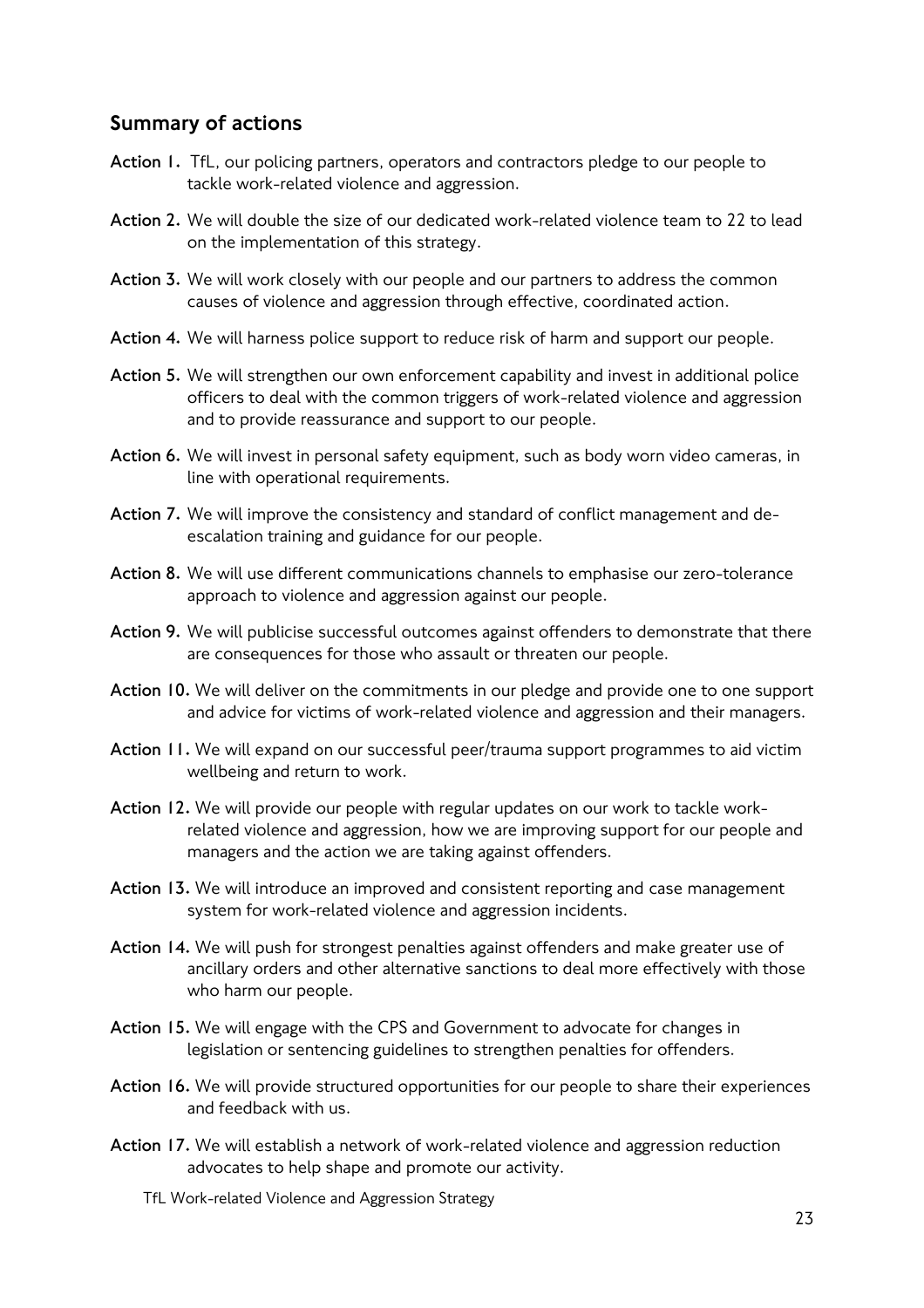## Summary of actions

- **Action 1.** TfL, our policing partners, operators and contractors pledge to our people to tackle work-related violence and aggression.
- **Action 2.** We will double the size of our dedicated work-related violence team to 22 to lead on the implementation of this strategy.
- **Action 3.** We will work closely with our people and our partners to address the common causes of violence and aggression through effective, coordinated action.
- **Action 4.** We will harness police support to reduce risk of harm and support our people.
- **Action 5.** We will strengthen our own enforcement capability and invest in additional police officers to deal with the common triggers of work-related violence and aggression and to provide reassurance and support to our people.
- **Action 6.** We will invest in personal safety equipment, such as body worn video cameras, in line with operational requirements.
- **Action 7.** We will improve the consistency and standard of conflict management and deescalation training and guidance for our people.
- **Action 8.** We will use different communications channels to emphasise our zero-tolerance approach to violence and aggression against our people.
- **Action 9.** We will publicise successful outcomes against offenders to demonstrate that there are consequences for those who assault or threaten our people.
- **Action 10.** We will deliver on the commitments in our pledge and provide one to one support and advice for victims of work-related violence and aggression and their managers.
- **Action 11.** We will expand on our successful peer/trauma support programmes to aid victim wellbeing and return to work.
- **Action 12.** We will provide our people with regular updates on our work to tackle workrelated violence and aggression, how we are improving support for our people and managers and the action we are taking against offenders.
- **Action 13.** We will introduce an improved and consistent reporting and case management system for work-related violence and aggression incidents.
- **Action 14.** We will push for strongest penalties against offenders and make greater use of ancillary orders and other alternative sanctions to deal more effectively with those who harm our people.
- **Action 15.** We will engage with the CPS and Government to advocate for changes in legislation or sentencing guidelines to strengthen penalties for offenders.
- Action 16. We will provide structured opportunities for our people to share their experiences and feedback with us.
- **Action 17.** We will establish a network of work-related violence and aggression reduction advocates to help shape and promote our activity.
	- TfL Work-related Violence and Aggression Strategy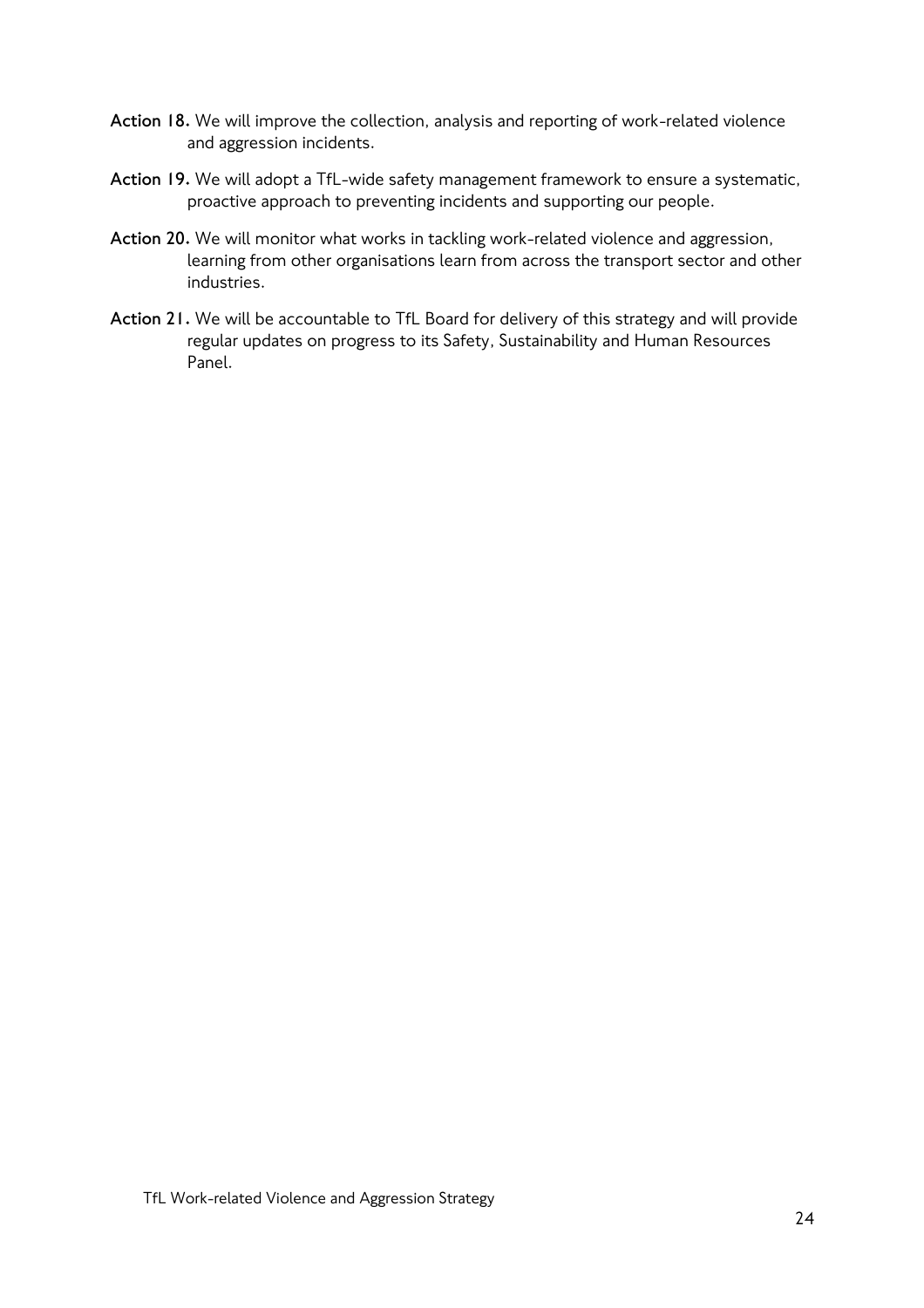- **Action 18.** We will improve the collection, analysis and reporting of work-related violence and aggression incidents.
- **Action 19.** We will adopt a TfL-wide safety management framework to ensure a systematic, proactive approach to preventing incidents and supporting our people.
- **Action 20.** We will monitor what works in tackling work-related violence and aggression, learning from other organisations learn from across the transport sector and other industries.
- **Action 21.** We will be accountable to TfL Board for delivery of this strategy and will provide regular updates on progress to its Safety, Sustainability and Human Resources Panel.